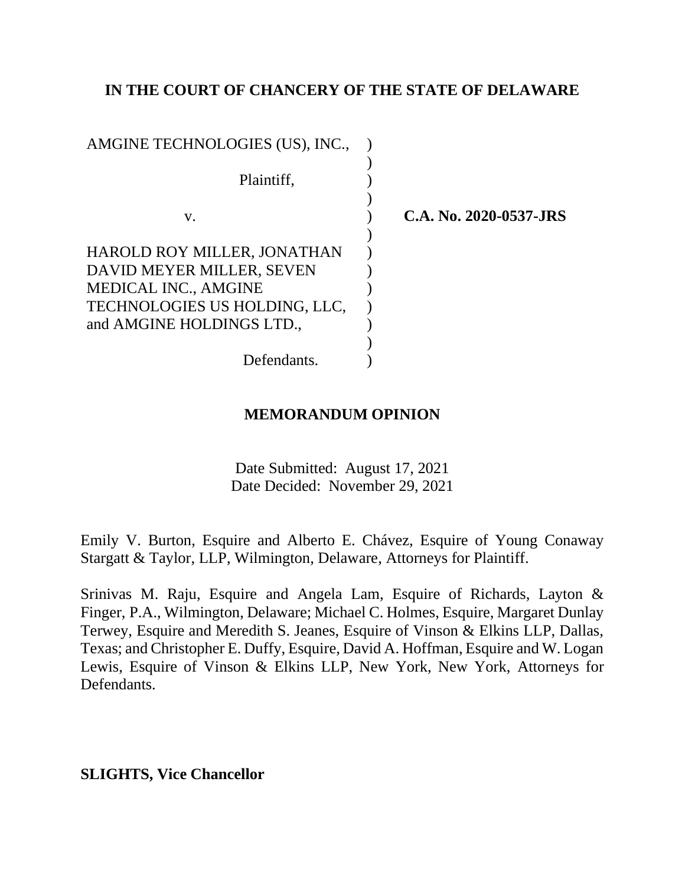# **IN THE COURT OF CHANCERY OF THE STATE OF DELAWARE**

| AMGINE TECHNOLOGIES (US), INC., |                        |
|---------------------------------|------------------------|
| Plaintiff,                      |                        |
| V.                              | C.A. No. 2020-0537-JRS |
| HAROLD ROY MILLER, JONATHAN     |                        |
| DAVID MEYER MILLER, SEVEN       |                        |
| <b>MEDICAL INC., AMGINE</b>     |                        |
| TECHNOLOGIES US HOLDING, LLC,   |                        |
| and AMGINE HOLDINGS LTD.,       |                        |
|                                 |                        |
| Defendants.                     |                        |

# **MEMORANDUM OPINION**

Date Submitted: August 17, 2021 Date Decided: November 29, 2021

Emily V. Burton, Esquire and Alberto E. Chávez, Esquire of Young Conaway Stargatt & Taylor, LLP, Wilmington, Delaware, Attorneys for Plaintiff.

Srinivas M. Raju, Esquire and Angela Lam, Esquire of Richards, Layton & Finger, P.A., Wilmington, Delaware; Michael C. Holmes, Esquire, Margaret Dunlay Terwey, Esquire and Meredith S. Jeanes, Esquire of Vinson & Elkins LLP, Dallas, Texas; and Christopher E. Duffy, Esquire, David A. Hoffman, Esquire and W. Logan Lewis, Esquire of Vinson & Elkins LLP, New York, New York, Attorneys for Defendants.

**SLIGHTS, Vice Chancellor**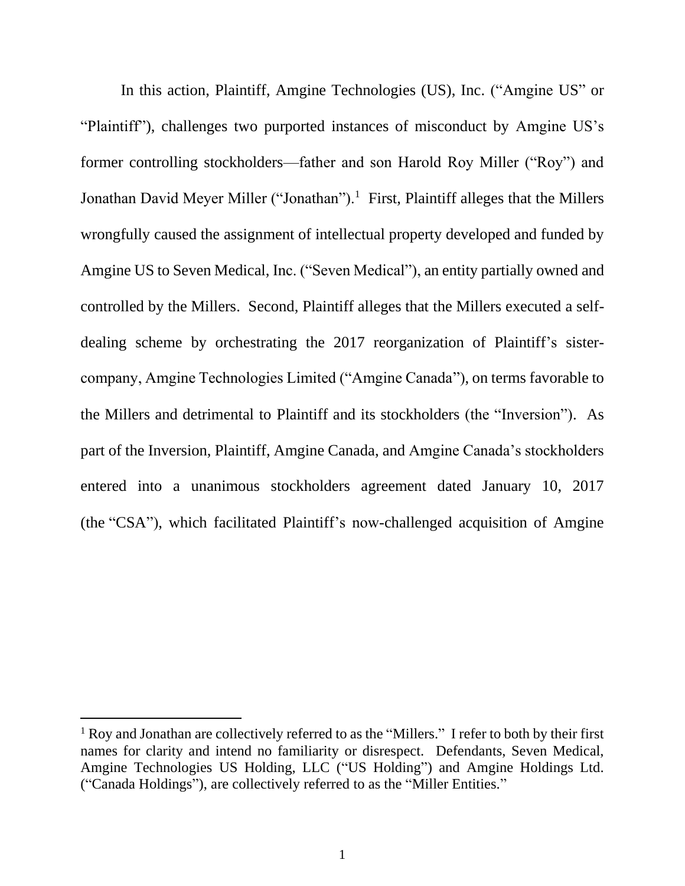In this action, Plaintiff, Amgine Technologies (US), Inc. ("Amgine US" or "Plaintiff"), challenges two purported instances of misconduct by Amgine US's former controlling stockholders—father and son Harold Roy Miller ("Roy") and Jonathan David Meyer Miller ("Jonathan").<sup>1</sup> First, Plaintiff alleges that the Millers wrongfully caused the assignment of intellectual property developed and funded by Amgine US to Seven Medical, Inc. ("Seven Medical"), an entity partially owned and controlled by the Millers. Second, Plaintiff alleges that the Millers executed a selfdealing scheme by orchestrating the 2017 reorganization of Plaintiff's sistercompany, Amgine Technologies Limited ("Amgine Canada"), on terms favorable to the Millers and detrimental to Plaintiff and its stockholders (the "Inversion"). As part of the Inversion, Plaintiff, Amgine Canada, and Amgine Canada's stockholders entered into a unanimous stockholders agreement dated January 10, 2017 (the "CSA"), which facilitated Plaintiff's now-challenged acquisition of Amgine

<sup>&</sup>lt;sup>1</sup> Roy and Jonathan are collectively referred to as the "Millers." I refer to both by their first names for clarity and intend no familiarity or disrespect. Defendants, Seven Medical, Amgine Technologies US Holding, LLC ("US Holding") and Amgine Holdings Ltd. ("Canada Holdings"), are collectively referred to as the "Miller Entities."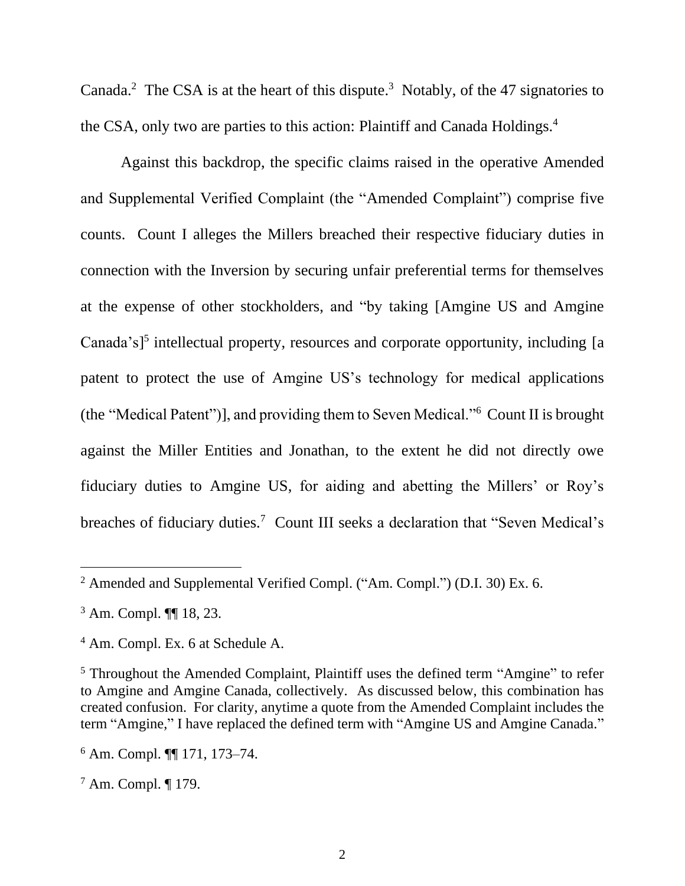Canada.<sup>2</sup> The CSA is at the heart of this dispute.<sup>3</sup> Notably, of the 47 signatories to the CSA, only two are parties to this action: Plaintiff and Canada Holdings.<sup>4</sup>

Against this backdrop, the specific claims raised in the operative Amended and Supplemental Verified Complaint (the "Amended Complaint") comprise five counts. Count I alleges the Millers breached their respective fiduciary duties in connection with the Inversion by securing unfair preferential terms for themselves at the expense of other stockholders, and "by taking [Amgine US and Amgine Canada's]<sup>5</sup> intellectual property, resources and corporate opportunity, including [a patent to protect the use of Amgine US's technology for medical applications (the "Medical Patent")], and providing them to Seven Medical."<sup>6</sup> Count II is brought against the Miller Entities and Jonathan, to the extent he did not directly owe fiduciary duties to Amgine US, for aiding and abetting the Millers' or Roy's breaches of fiduciary duties.<sup>7</sup> Count III seeks a declaration that "Seven Medical's

<sup>&</sup>lt;sup>2</sup> Amended and Supplemental Verified Compl. ("Am. Compl.") (D.I. 30) Ex. 6.

<sup>3</sup> Am. Compl. ¶¶ 18, 23.

<sup>4</sup> Am. Compl. Ex. 6 at Schedule A.

<sup>5</sup> Throughout the Amended Complaint, Plaintiff uses the defined term "Amgine" to refer to Amgine and Amgine Canada, collectively. As discussed below, this combination has created confusion. For clarity, anytime a quote from the Amended Complaint includes the term "Amgine," I have replaced the defined term with "Amgine US and Amgine Canada."

<sup>6</sup> Am. Compl. ¶¶ 171, 173–74.

<sup>7</sup> Am. Compl. ¶ 179.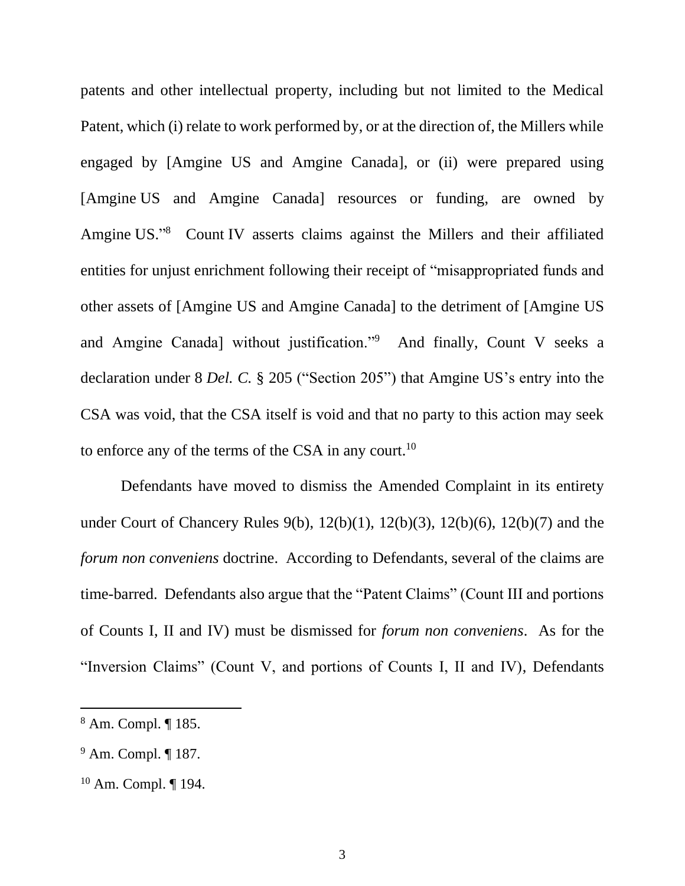patents and other intellectual property, including but not limited to the Medical Patent, which (i) relate to work performed by, or at the direction of, the Millers while engaged by [Amgine US and Amgine Canada], or (ii) were prepared using [Amgine US and Amgine Canada] resources or funding, are owned by Amgine US." 8 Count IV asserts claims against the Millers and their affiliated entities for unjust enrichment following their receipt of "misappropriated funds and other assets of [Amgine US and Amgine Canada] to the detriment of [Amgine US and Amgine Canada] without justification."<sup>9</sup> And finally, Count V seeks a declaration under 8 *Del. C.* § 205 ("Section 205") that Amgine US's entry into the CSA was void, that the CSA itself is void and that no party to this action may seek to enforce any of the terms of the CSA in any court.<sup>10</sup>

Defendants have moved to dismiss the Amended Complaint in its entirety under Court of Chancery Rules 9(b), 12(b)(1), 12(b)(3), 12(b)(6), 12(b)(7) and the *forum non conveniens* doctrine. According to Defendants, several of the claims are time-barred. Defendants also argue that the "Patent Claims" (Count III and portions of Counts I, II and IV) must be dismissed for *forum non conveniens*. As for the "Inversion Claims" (Count V, and portions of Counts I, II and IV), Defendants

<sup>8</sup> Am. Compl. ¶ 185.

<sup>9</sup> Am. Compl. ¶ 187.

<sup>10</sup> Am. Compl. ¶ 194.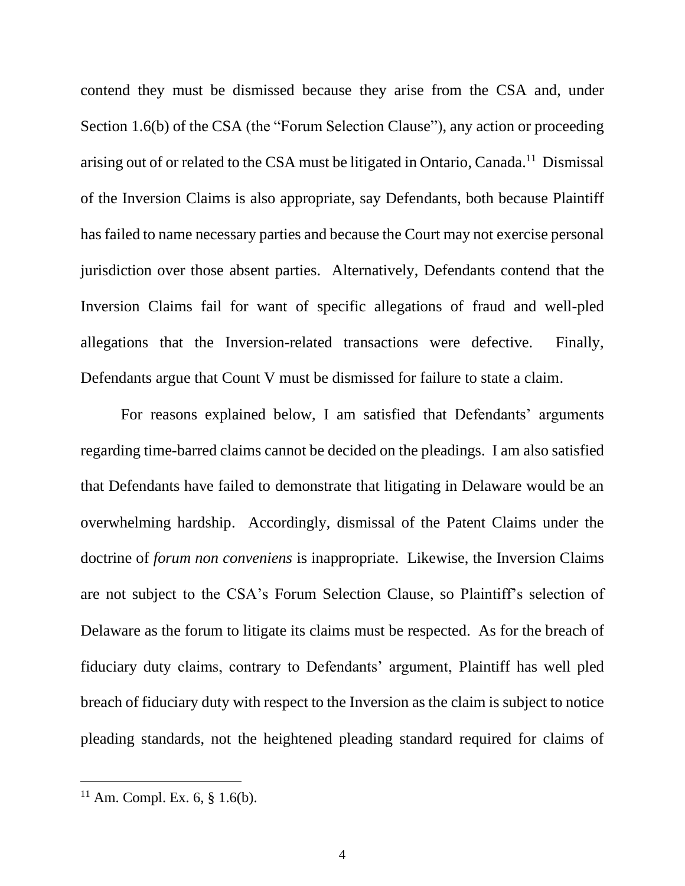contend they must be dismissed because they arise from the CSA and, under Section 1.6(b) of the CSA (the "Forum Selection Clause"), any action or proceeding arising out of or related to the CSA must be litigated in Ontario, Canada.<sup>11</sup> Dismissal of the Inversion Claims is also appropriate, say Defendants, both because Plaintiff has failed to name necessary parties and because the Court may not exercise personal jurisdiction over those absent parties. Alternatively, Defendants contend that the Inversion Claims fail for want of specific allegations of fraud and well-pled allegations that the Inversion-related transactions were defective. Finally, Defendants argue that Count V must be dismissed for failure to state a claim.

For reasons explained below, I am satisfied that Defendants' arguments regarding time-barred claims cannot be decided on the pleadings. I am also satisfied that Defendants have failed to demonstrate that litigating in Delaware would be an overwhelming hardship. Accordingly, dismissal of the Patent Claims under the doctrine of *forum non conveniens* is inappropriate. Likewise, the Inversion Claims are not subject to the CSA's Forum Selection Clause, so Plaintiff's selection of Delaware as the forum to litigate its claims must be respected. As for the breach of fiduciary duty claims, contrary to Defendants' argument, Plaintiff has well pled breach of fiduciary duty with respect to the Inversion as the claim is subject to notice pleading standards, not the heightened pleading standard required for claims of

 $11$  Am. Compl. Ex. 6, § 1.6(b).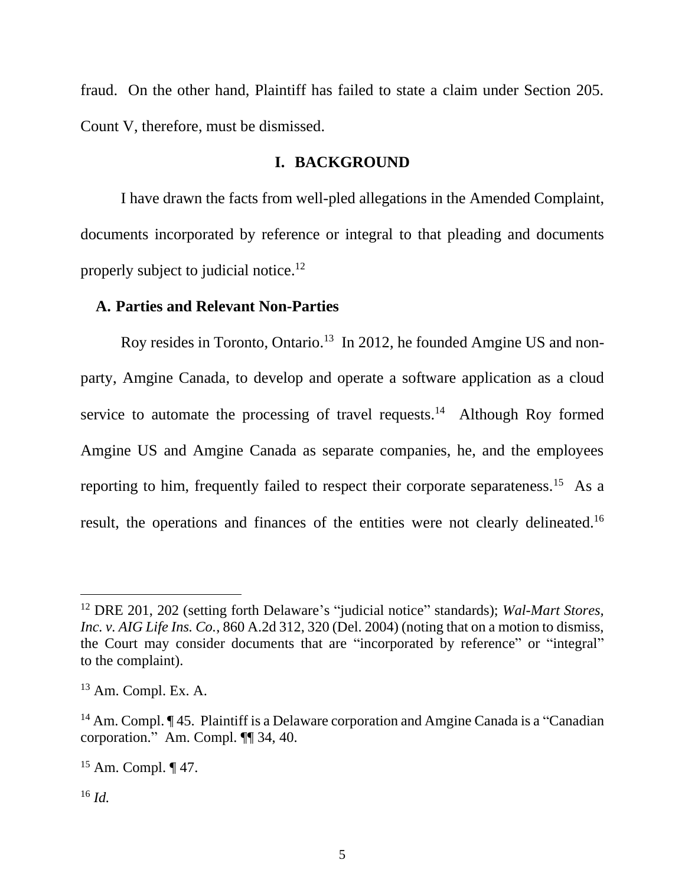fraud. On the other hand, Plaintiff has failed to state a claim under Section 205. Count V, therefore, must be dismissed.

# **I. BACKGROUND**

I have drawn the facts from well-pled allegations in the Amended Complaint, documents incorporated by reference or integral to that pleading and documents properly subject to judicial notice.<sup>12</sup>

#### **A. Parties and Relevant Non-Parties**

Roy resides in Toronto, Ontario.<sup>13</sup> In 2012, he founded Amgine US and nonparty, Amgine Canada, to develop and operate a software application as a cloud service to automate the processing of travel requests.<sup>14</sup> Although Roy formed Amgine US and Amgine Canada as separate companies, he, and the employees reporting to him, frequently failed to respect their corporate separateness.<sup>15</sup> As a result, the operations and finances of the entities were not clearly delineated.<sup>16</sup>

<sup>12</sup> DRE 201, 202 (setting forth Delaware's "judicial notice" standards); *Wal-Mart Stores, Inc. v. AIG Life Ins. Co.*, 860 A.2d 312, 320 (Del. 2004) (noting that on a motion to dismiss, the Court may consider documents that are "incorporated by reference" or "integral" to the complaint).

 $13$  Am. Compl. Ex. A.

<sup>&</sup>lt;sup>14</sup> Am. Compl. ¶ 45. Plaintiff is a Delaware corporation and Amgine Canada is a "Canadian" corporation." Am. Compl. ¶¶ 34, 40.

<sup>15</sup> Am. Compl. ¶ 47.

<sup>16</sup> *Id.*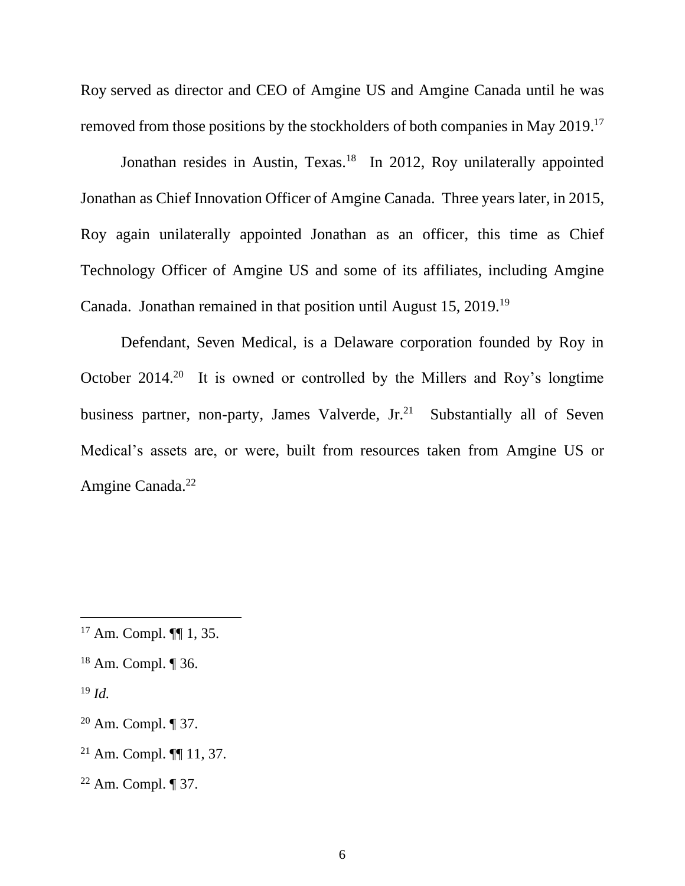Roy served as director and CEO of Amgine US and Amgine Canada until he was removed from those positions by the stockholders of both companies in May 2019.<sup>17</sup>

Jonathan resides in Austin, Texas.<sup>18</sup> In 2012, Roy unilaterally appointed Jonathan as Chief Innovation Officer of Amgine Canada. Three years later, in 2015, Roy again unilaterally appointed Jonathan as an officer, this time as Chief Technology Officer of Amgine US and some of its affiliates, including Amgine Canada. Jonathan remained in that position until August 15, 2019.<sup>19</sup>

Defendant, Seven Medical, is a Delaware corporation founded by Roy in October  $2014<sup>20</sup>$  It is owned or controlled by the Millers and Roy's longtime business partner, non-party, James Valverde,  $Jr<sub>1</sub><sup>21</sup>$  Substantially all of Seven Medical's assets are, or were, built from resources taken from Amgine US or Amgine Canada.<sup>22</sup>

- <sup>21</sup> Am. Compl. ¶¶ 11, 37.
- $22$  Am. Compl.  $\P$  37.

<sup>17</sup> Am. Compl. ¶¶ 1, 35.

<sup>18</sup> Am. Compl. ¶ 36.

<sup>19</sup> *Id.*

 $20$  Am. Compl.  $\P$  37.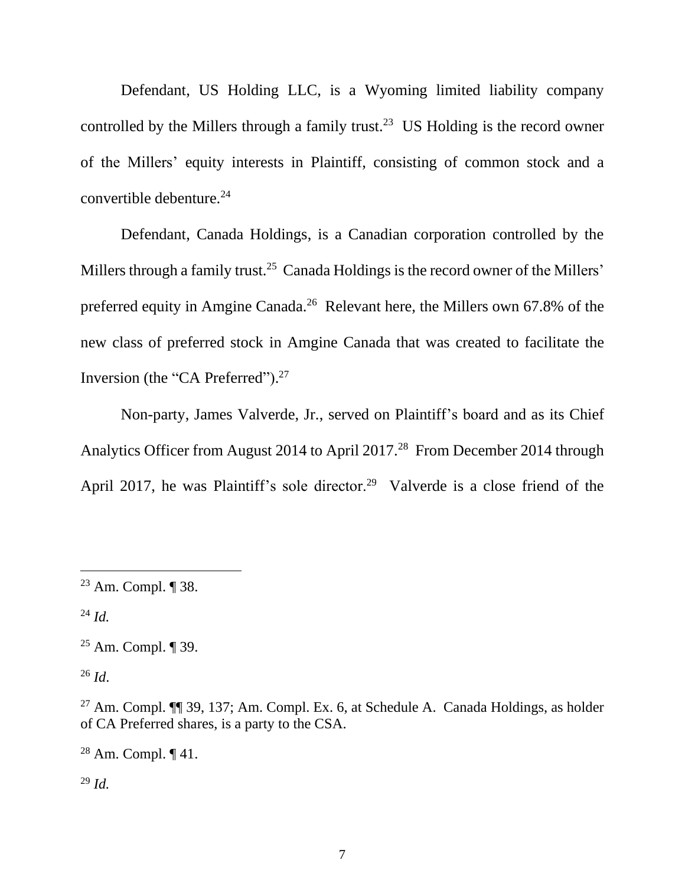Defendant, US Holding LLC, is a Wyoming limited liability company controlled by the Millers through a family trust.<sup>23</sup> US Holding is the record owner of the Millers' equity interests in Plaintiff, consisting of common stock and a convertible debenture.<sup>24</sup>

Defendant, Canada Holdings, is a Canadian corporation controlled by the Millers through a family trust.<sup>25</sup> Canada Holdings is the record owner of the Millers' preferred equity in Amgine Canada.<sup>26</sup> Relevant here, the Millers own 67.8% of the new class of preferred stock in Amgine Canada that was created to facilitate the Inversion (the "CA Preferred").<sup>27</sup>

Non-party, James Valverde, Jr., served on Plaintiff's board and as its Chief Analytics Officer from August 2014 to April 2017.<sup>28</sup> From December 2014 through April 2017, he was Plaintiff's sole director.<sup>29</sup> Valverde is a close friend of the

<sup>24</sup> *Id.*

<sup>26</sup> *Id*.

<sup>28</sup> Am. Compl.  $\P$  41.

<sup>29</sup> *Id.*

<sup>23</sup> Am. Compl. ¶ 38.

<sup>25</sup> Am. Compl. ¶ 39.

<sup>&</sup>lt;sup>27</sup> Am. Compl.  $\P$  39, 137; Am. Compl. Ex. 6, at Schedule A. Canada Holdings, as holder of CA Preferred shares, is a party to the CSA.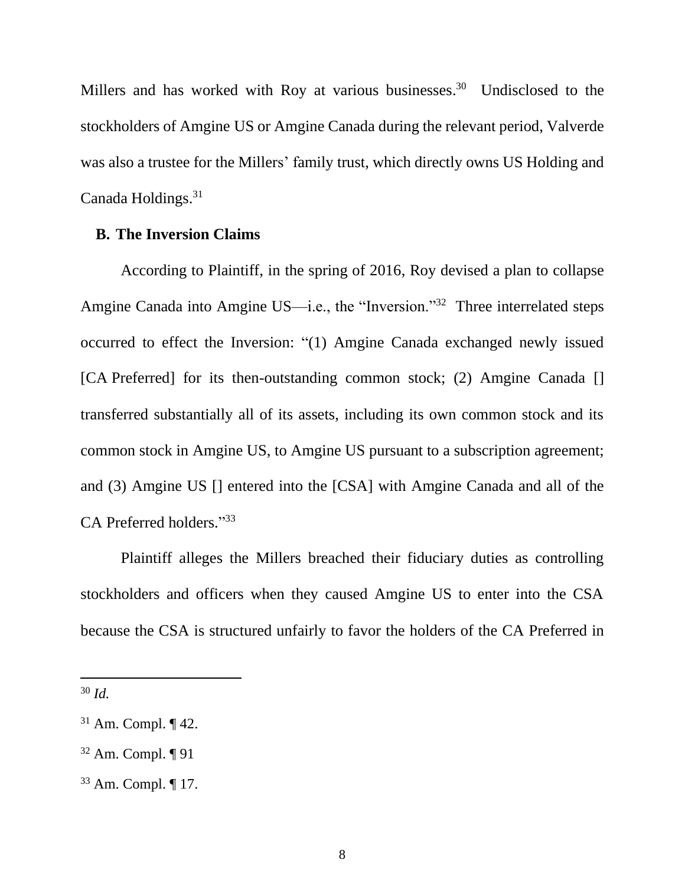Millers and has worked with Roy at various businesses.<sup>30</sup> Undisclosed to the stockholders of Amgine US or Amgine Canada during the relevant period, Valverde was also a trustee for the Millers' family trust, which directly owns US Holding and Canada Holdings.<sup>31</sup>

### **B. The Inversion Claims**

According to Plaintiff, in the spring of 2016, Roy devised a plan to collapse Amgine Canada into Amgine US—i.e., the "Inversion."<sup>32</sup> Three interrelated steps occurred to effect the Inversion: "(1) Amgine Canada exchanged newly issued [CA Preferred] for its then-outstanding common stock; (2) Amgine Canada [] transferred substantially all of its assets, including its own common stock and its common stock in Amgine US, to Amgine US pursuant to a subscription agreement; and (3) Amgine US [] entered into the [CSA] with Amgine Canada and all of the CA Preferred holders."33

Plaintiff alleges the Millers breached their fiduciary duties as controlling stockholders and officers when they caused Amgine US to enter into the CSA because the CSA is structured unfairly to favor the holders of the CA Preferred in

<sup>30</sup> *Id.*

 $31$  Am. Compl.  $\P$  42.

 $32$  Am. Compl.  $\P$  91

<sup>33</sup> Am. Compl. ¶ 17.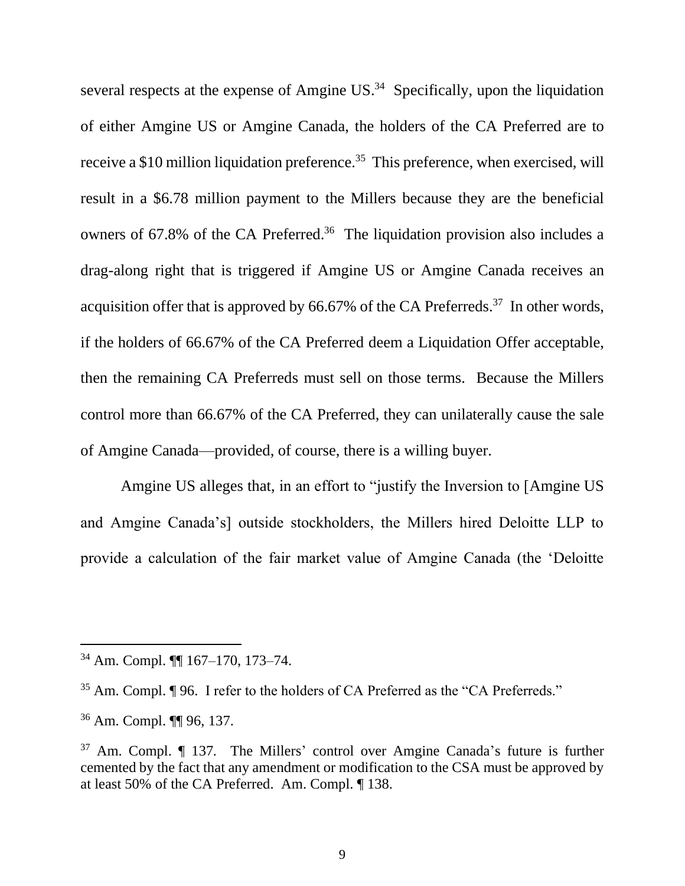several respects at the expense of Amgine  $US^{34}$  Specifically, upon the liquidation of either Amgine US or Amgine Canada, the holders of the CA Preferred are to receive a \$10 million liquidation preference.<sup>35</sup> This preference, when exercised, will result in a \$6.78 million payment to the Millers because they are the beneficial owners of 67.8% of the CA Preferred.<sup>36</sup> The liquidation provision also includes a drag-along right that is triggered if Amgine US or Amgine Canada receives an acquisition offer that is approved by  $66.67\%$  of the CA Preferreds.<sup>37</sup> In other words, if the holders of 66.67% of the CA Preferred deem a Liquidation Offer acceptable, then the remaining CA Preferreds must sell on those terms. Because the Millers control more than 66.67% of the CA Preferred, they can unilaterally cause the sale of Amgine Canada—provided, of course, there is a willing buyer.

Amgine US alleges that, in an effort to "justify the Inversion to [Amgine US and Amgine Canada's] outside stockholders, the Millers hired Deloitte LLP to provide a calculation of the fair market value of Amgine Canada (the 'Deloitte

<sup>34</sup> Am. Compl. ¶¶ 167–170, 173–74.

<sup>&</sup>lt;sup>35</sup> Am. Compl. ¶ 96. I refer to the holders of CA Preferred as the "CA Preferreds."

<sup>36</sup> Am. Compl. ¶¶ 96, 137.

<sup>37</sup> Am. Compl. ¶ 137*.* The Millers' control over Amgine Canada's future is further cemented by the fact that any amendment or modification to the CSA must be approved by at least 50% of the CA Preferred. Am. Compl. ¶ 138.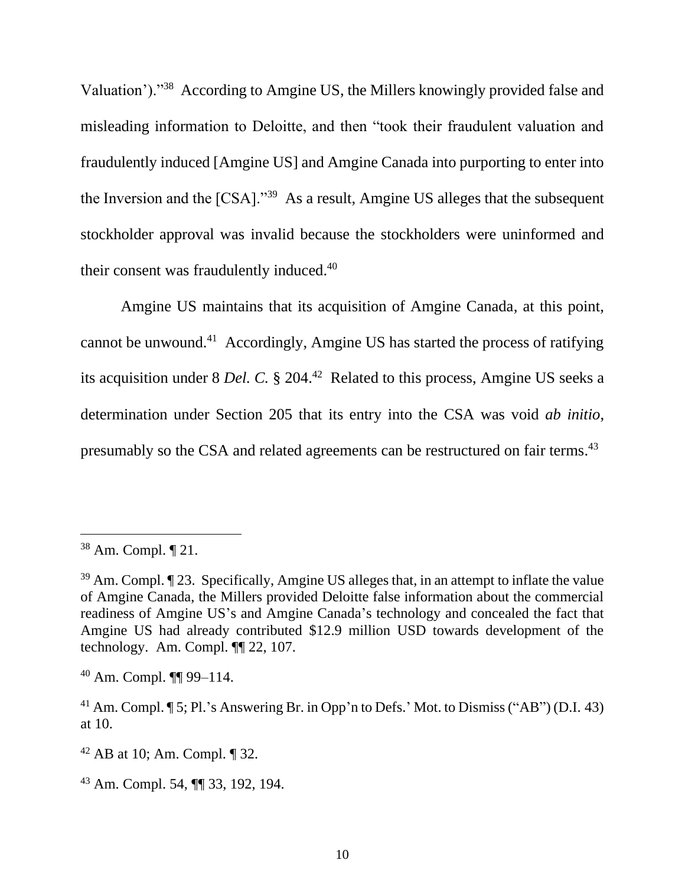Valuation')."<sup>38</sup> According to Amgine US, the Millers knowingly provided false and misleading information to Deloitte, and then "took their fraudulent valuation and fraudulently induced [Amgine US] and Amgine Canada into purporting to enter into the Inversion and the  $[CSA]$ ."<sup>39</sup> As a result, Amgine US alleges that the subsequent stockholder approval was invalid because the stockholders were uninformed and their consent was fraudulently induced.<sup>40</sup>

Amgine US maintains that its acquisition of Amgine Canada, at this point, cannot be unwound.<sup>41</sup> Accordingly, Amgine US has started the process of ratifying its acquisition under 8 *Del. C.* § 204.<sup>42</sup> Related to this process, Amgine US seeks a determination under Section 205 that its entry into the CSA was void *ab initio*, presumably so the CSA and related agreements can be restructured on fair terms.<sup>43</sup>

<sup>40</sup> Am. Compl. ¶¶ 99–114.

<sup>38</sup> Am. Compl. ¶ 21.

<sup>39</sup> Am. Compl. ¶ 23. Specifically, Amgine US alleges that, in an attempt to inflate the value of Amgine Canada, the Millers provided Deloitte false information about the commercial readiness of Amgine US's and Amgine Canada's technology and concealed the fact that Amgine US had already contributed \$12.9 million USD towards development of the technology. Am. Compl. ¶¶ 22, 107.

<sup>&</sup>lt;sup>41</sup> Am. Compl. ¶ 5; Pl.'s Answering Br. in Opp'n to Defs.' Mot. to Dismiss ("AB") (D.I. 43) at 10.

<sup>42</sup> AB at 10; Am. Compl. ¶ 32.

<sup>43</sup> Am. Compl. 54, ¶¶ 33, 192, 194.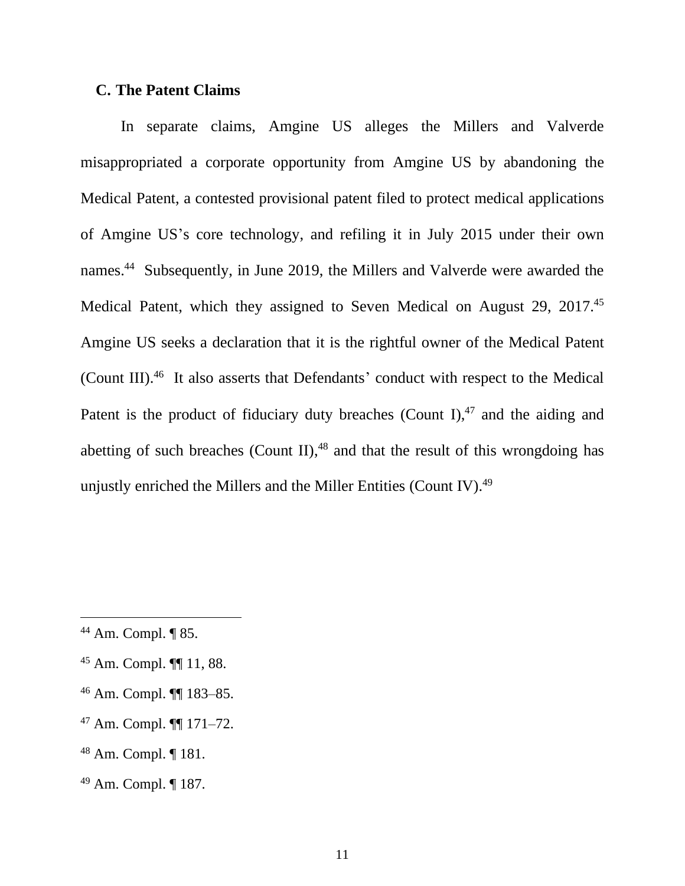### **C. The Patent Claims**

In separate claims, Amgine US alleges the Millers and Valverde misappropriated a corporate opportunity from Amgine US by abandoning the Medical Patent, a contested provisional patent filed to protect medical applications of Amgine US's core technology, and refiling it in July 2015 under their own names. 44 Subsequently, in June 2019, the Millers and Valverde were awarded the Medical Patent, which they assigned to Seven Medical on August 29, 2017.<sup>45</sup> Amgine US seeks a declaration that it is the rightful owner of the Medical Patent (Count III).<sup>46</sup> It also asserts that Defendants' conduct with respect to the Medical Patent is the product of fiduciary duty breaches (Count I), $47$  and the aiding and abetting of such breaches (Count II), $48$  and that the result of this wrongdoing has unjustly enriched the Millers and the Miller Entities (Count IV). $49$ 

<sup>44</sup> Am. Compl. ¶ 85.

<sup>45</sup> Am. Compl. ¶¶ 11, 88.

<sup>46</sup> Am. Compl. ¶¶ 183–85.

<sup>47</sup> Am. Compl. ¶¶ 171–72.

<sup>48</sup> Am. Compl. ¶ 181.

<sup>49</sup> Am. Compl. ¶ 187.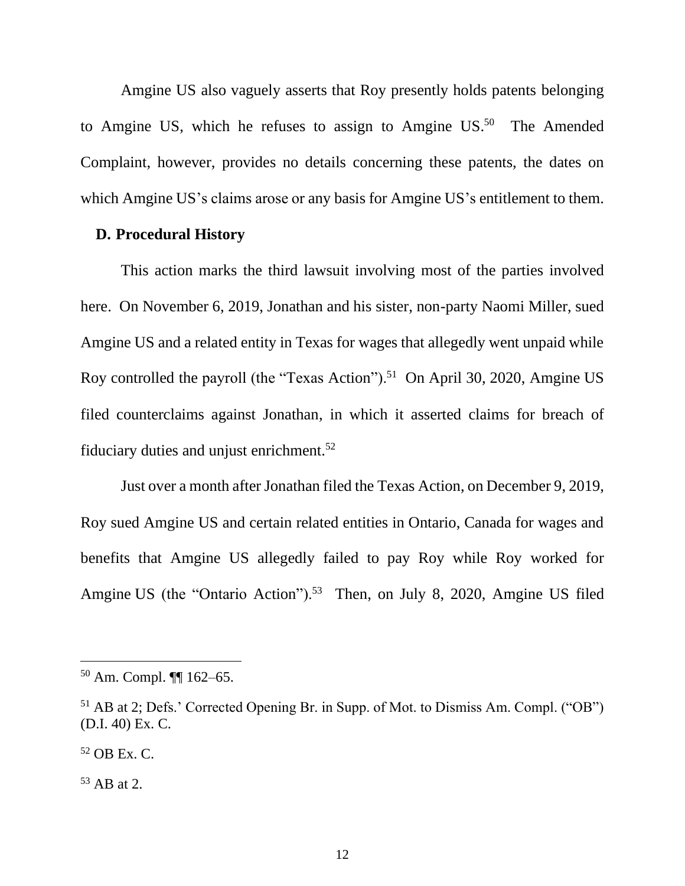Amgine US also vaguely asserts that Roy presently holds patents belonging to Amgine US, which he refuses to assign to Amgine  $US^{50}$  The Amended Complaint, however, provides no details concerning these patents, the dates on which Amgine US's claims arose or any basis for Amgine US's entitlement to them.

#### **D. Procedural History**

This action marks the third lawsuit involving most of the parties involved here. On November 6, 2019, Jonathan and his sister, non-party Naomi Miller, sued Amgine US and a related entity in Texas for wages that allegedly went unpaid while Roy controlled the payroll (the "Texas Action").<sup>51</sup> On April 30, 2020, Amgine US filed counterclaims against Jonathan, in which it asserted claims for breach of fiduciary duties and unjust enrichment.<sup>52</sup>

Just over a month after Jonathan filed the Texas Action, on December 9, 2019, Roy sued Amgine US and certain related entities in Ontario, Canada for wages and benefits that Amgine US allegedly failed to pay Roy while Roy worked for Amgine US (the "Ontario Action").<sup>53</sup> Then, on July 8, 2020, Amgine US filed

<sup>50</sup> Am. Compl. ¶¶ 162–65.

<sup>51</sup> AB at 2; Defs.' Corrected Opening Br. in Supp. of Mot. to Dismiss Am. Compl. ("OB") (D.I. 40) Ex. C.

 $52$  OB Ex. C.

<sup>53</sup> AB at 2.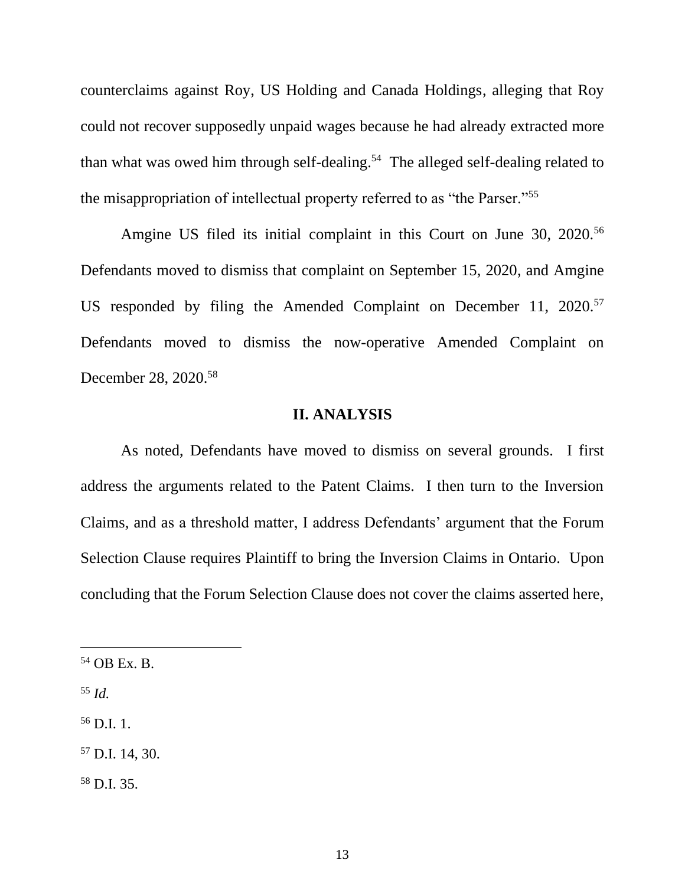counterclaims against Roy, US Holding and Canada Holdings, alleging that Roy could not recover supposedly unpaid wages because he had already extracted more than what was owed him through self-dealing.<sup>54</sup> The alleged self-dealing related to the misappropriation of intellectual property referred to as "the Parser."<sup>55</sup>

Amgine US filed its initial complaint in this Court on June 30, 2020.<sup>56</sup> Defendants moved to dismiss that complaint on September 15, 2020, and Amgine US responded by filing the Amended Complaint on December 11, 2020.<sup>57</sup> Defendants moved to dismiss the now-operative Amended Complaint on December 28, 2020.<sup>58</sup>

### **II. ANALYSIS**

As noted, Defendants have moved to dismiss on several grounds. I first address the arguments related to the Patent Claims. I then turn to the Inversion Claims, and as a threshold matter, I address Defendants' argument that the Forum Selection Clause requires Plaintiff to bring the Inversion Claims in Ontario. Upon concluding that the Forum Selection Clause does not cover the claims asserted here,

- <sup>55</sup> *Id.*
- $56$  D.I. 1.
- <sup>57</sup> D.I. 14, 30.
- <sup>58</sup> D.I. 35.

 $54$  OB Ex. B.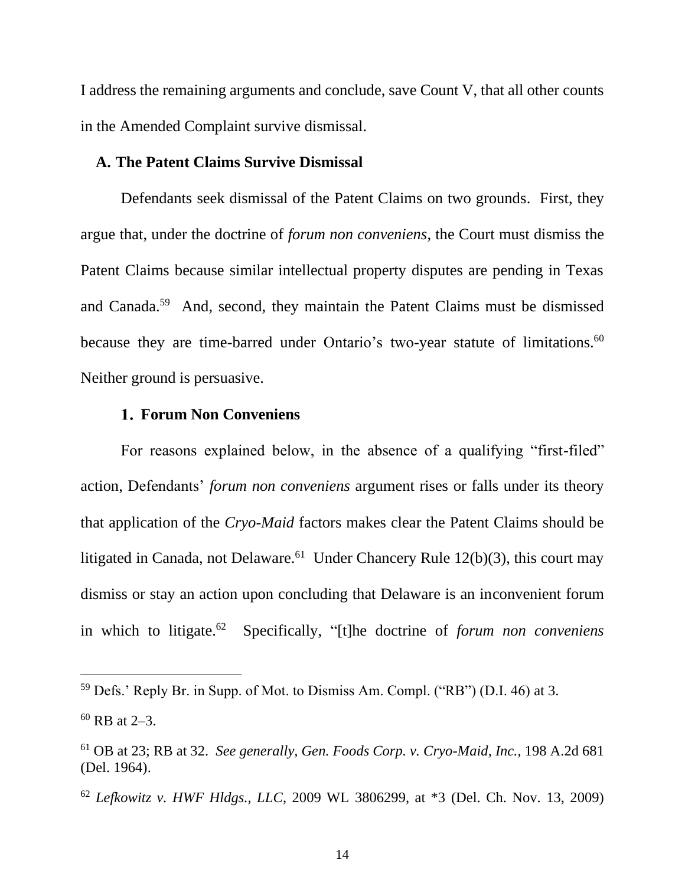I address the remaining arguments and conclude, save Count V, that all other counts in the Amended Complaint survive dismissal.

#### **A. The Patent Claims Survive Dismissal**

Defendants seek dismissal of the Patent Claims on two grounds. First, they argue that, under the doctrine of *forum non conveniens*, the Court must dismiss the Patent Claims because similar intellectual property disputes are pending in Texas and Canada.<sup>59</sup> And, second, they maintain the Patent Claims must be dismissed because they are time-barred under Ontario's two-year statute of limitations.<sup>60</sup> Neither ground is persuasive.

# **Forum Non Conveniens**

For reasons explained below, in the absence of a qualifying "first-filed" action, Defendants' *forum non conveniens* argument rises or falls under its theory that application of the *Cryo-Maid* factors makes clear the Patent Claims should be litigated in Canada, not Delaware.<sup>61</sup> Under Chancery Rule  $12(b)(3)$ , this court may dismiss or stay an action upon concluding that Delaware is an inconvenient forum in which to litigate. 62 Specifically, "[t]he doctrine of *forum non conveniens*

 $59$  Defs.' Reply Br. in Supp. of Mot. to Dismiss Am. Compl. ("RB") (D.I. 46) at 3.

 $60$  RB at 2–3.

<sup>61</sup> OB at 23; RB at 32. *See generally, Gen. Foods Corp. v. Cryo-Maid, Inc.*, 198 A.2d 681 (Del. 1964).

<sup>62</sup> *Lefkowitz v. HWF Hldgs., LLC*, 2009 WL 3806299, at \*3 (Del. Ch. Nov. 13, 2009)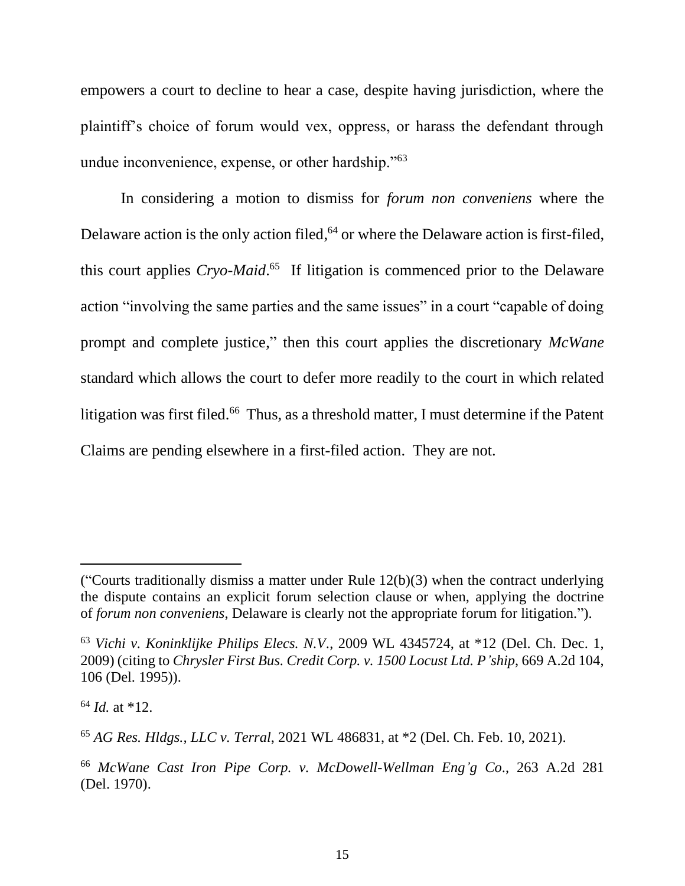empowers a court to decline to hear a case, despite having jurisdiction, where the plaintiff's choice of forum would vex, oppress, or harass the defendant through undue inconvenience, expense, or other hardship."<sup>63</sup>

In considering a motion to dismiss for *forum non conveniens* where the Delaware action is the only action filed,<sup>64</sup> or where the Delaware action is first-filed, this court applies *Cryo-Maid*. 65 If litigation is commenced prior to the Delaware action "involving the same parties and the same issues" in a court "capable of doing prompt and complete justice," then this court applies the discretionary *McWane* standard which allows the court to defer more readily to the court in which related litigation was first filed.<sup>66</sup> Thus, as a threshold matter, I must determine if the Patent Claims are pending elsewhere in a first-filed action. They are not.

<sup>(&</sup>quot;Courts traditionally dismiss a matter under Rule  $12(b)(3)$  when the contract underlying the dispute contains an explicit forum selection clause or when, applying the doctrine of *forum non conveniens*, Delaware is clearly not the appropriate forum for litigation.").

<sup>63</sup> *Vichi v. Koninklijke Philips Elecs. N.V*., 2009 WL 4345724, at \*12 (Del. Ch. Dec. 1, 2009) (citing to *Chrysler First Bus. Credit Corp. v. 1500 Locust Ltd. P'ship*, 669 A.2d 104, 106 (Del. 1995)).

 $64$  *Id.* at \*12.

<sup>65</sup> *AG Res. Hldgs., LLC v. Terral*, 2021 WL 486831, at \*2 (Del. Ch. Feb. 10, 2021).

<sup>66</sup> *McWane Cast Iron Pipe Corp. v. McDowell-Wellman Eng'g Co*., 263 A.2d 281 (Del. 1970).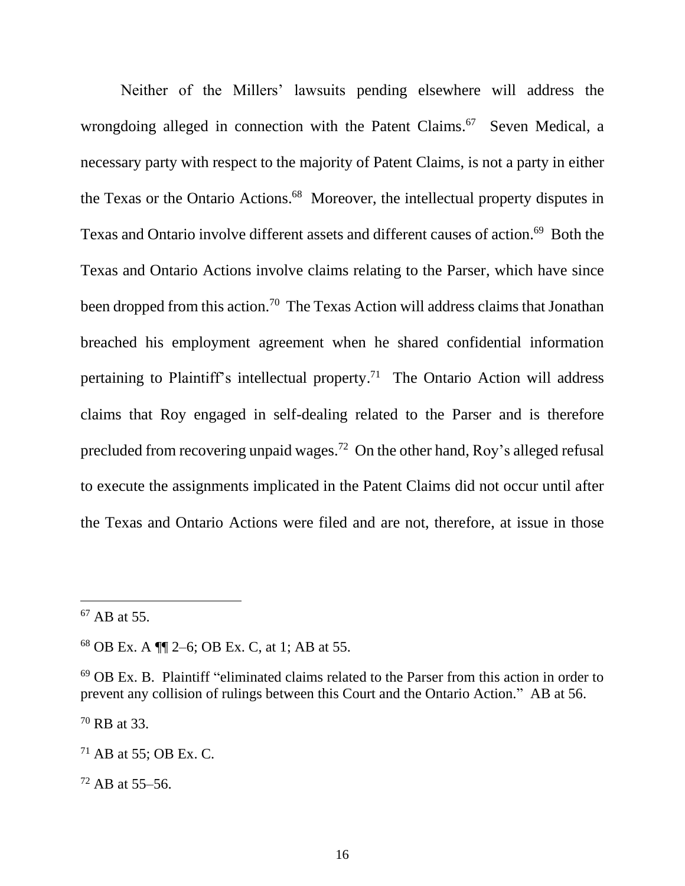Neither of the Millers' lawsuits pending elsewhere will address the wrongdoing alleged in connection with the Patent Claims.<sup>67</sup> Seven Medical, a necessary party with respect to the majority of Patent Claims, is not a party in either the Texas or the Ontario Actions. <sup>68</sup> Moreover, the intellectual property disputes in Texas and Ontario involve different assets and different causes of action.<sup>69</sup> Both the Texas and Ontario Actions involve claims relating to the Parser, which have since been dropped from this action.<sup>70</sup> The Texas Action will address claims that Jonathan breached his employment agreement when he shared confidential information pertaining to Plaintiff's intellectual property.<sup>71</sup> The Ontario Action will address claims that Roy engaged in self-dealing related to the Parser and is therefore precluded from recovering unpaid wages.<sup>72</sup> On the other hand, Roy's alleged refusal to execute the assignments implicated in the Patent Claims did not occur until after the Texas and Ontario Actions were filed and are not, therefore, at issue in those

<sup>70</sup> RB at 33.

 $67$  AB at 55.

<sup>68</sup> OB Ex. A ¶¶ 2–6; OB Ex. C, at 1; AB at 55.

<sup>69</sup> OB Ex. B. Plaintiff "eliminated claims related to the Parser from this action in order to prevent any collision of rulings between this Court and the Ontario Action." AB at 56.

 $71$  AB at 55; OB Ex. C.

<sup>72</sup> AB at 55–56.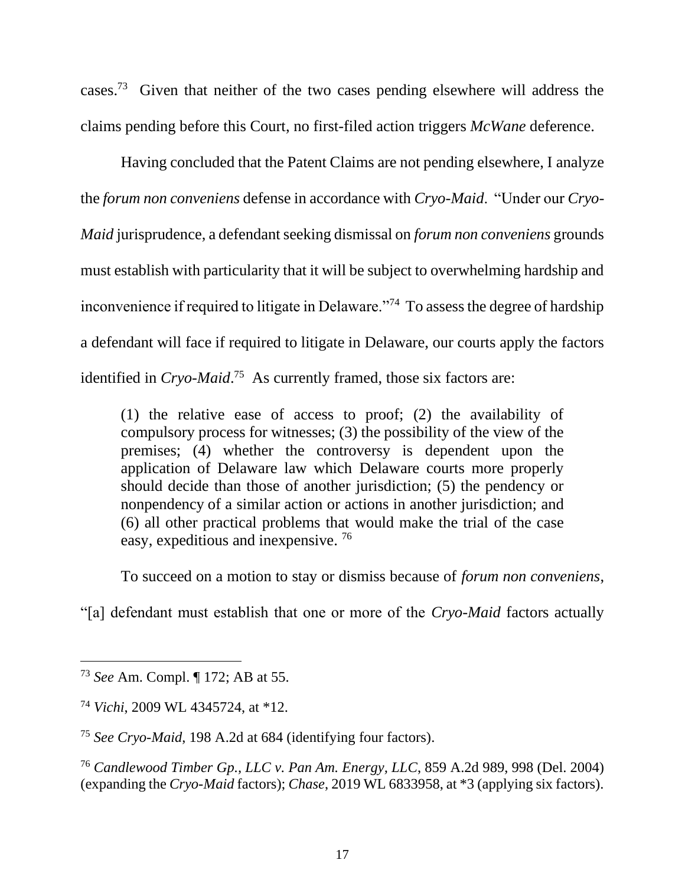cases.<sup>73</sup> Given that neither of the two cases pending elsewhere will address the claims pending before this Court, no first-filed action triggers *McWane* deference.

Having concluded that the Patent Claims are not pending elsewhere, I analyze the *forum non conveniens* defense in accordance with *Cryo-Maid*. "Under our *Cryo-Maid* jurisprudence, a defendant seeking dismissal on *forum non conveniens* grounds must establish with particularity that it will be subject to overwhelming hardship and inconvenience if required to litigate in Delaware."<sup>74</sup> To assess the degree of hardship a defendant will face if required to litigate in Delaware, our courts apply the factors identified in *Cryo-Maid*. <sup>75</sup> As currently framed, those six factors are:

(1) the relative ease of access to proof; (2) the availability of compulsory process for witnesses; (3) the possibility of the view of the premises; (4) whether the controversy is dependent upon the application of Delaware law which Delaware courts more properly should decide than those of another jurisdiction; (5) the pendency or nonpendency of a similar action or actions in another jurisdiction; and (6) all other practical problems that would make the trial of the case easy, expeditious and inexpensive. <sup>76</sup>

To succeed on a motion to stay or dismiss because of *forum non conveniens*,

"[a] defendant must establish that one or more of the *Cryo-Maid* factors actually

<sup>73</sup> *See* Am. Compl. ¶ 172; AB at 55.

<sup>74</sup> *Vichi*, 2009 WL 4345724, at \*12.

<sup>75</sup> *See Cryo-Maid*, 198 A.2d at 684 (identifying four factors).

<sup>76</sup> *Candlewood Timber Gp., LLC v. Pan Am. Energy, LLC*, 859 A.2d 989, 998 (Del. 2004) (expanding the *Cryo-Maid* factors); *Chase*, 2019 WL 6833958, at \*3 (applying six factors).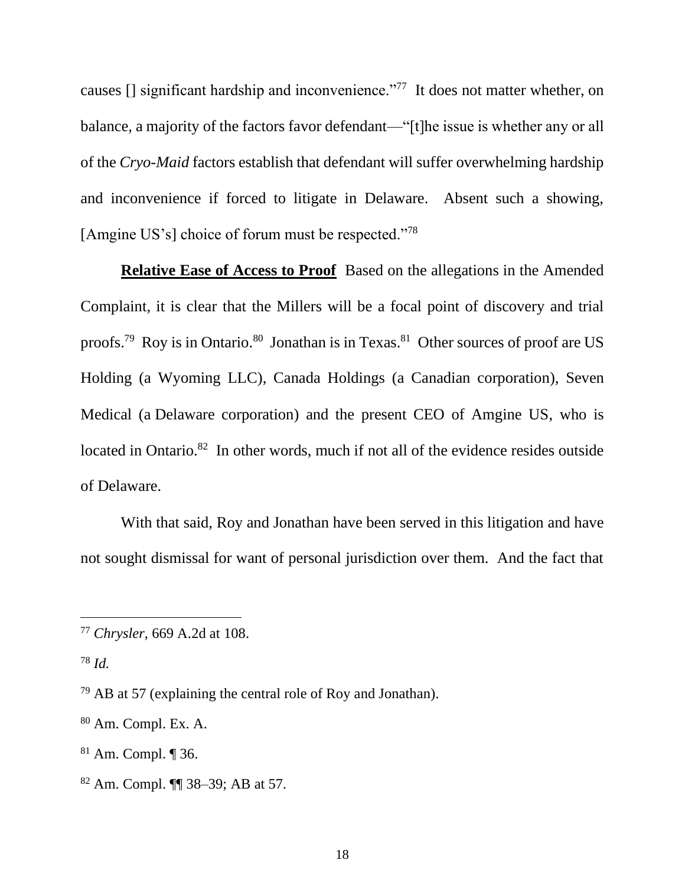causes [] significant hardship and inconvenience."<sup>77</sup> It does not matter whether, on balance, a majority of the factors favor defendant—"[t]he issue is whether any or all of the *Cryo-Maid* factors establish that defendant will suffer overwhelming hardship and inconvenience if forced to litigate in Delaware. Absent such a showing, [Amgine US's] choice of forum must be respected."<sup>78</sup>

**Relative Ease of Access to Proof** Based on the allegations in the Amended Complaint, it is clear that the Millers will be a focal point of discovery and trial proofs.<sup>79</sup> Roy is in Ontario.<sup>80</sup> Jonathan is in Texas.<sup>81</sup> Other sources of proof are US Holding (a Wyoming LLC), Canada Holdings (a Canadian corporation), Seven Medical (a Delaware corporation) and the present CEO of Amgine US, who is located in Ontario.<sup>82</sup> In other words, much if not all of the evidence resides outside of Delaware.

With that said, Roy and Jonathan have been served in this litigation and have not sought dismissal for want of personal jurisdiction over them. And the fact that

<sup>78</sup> *Id.*

<sup>77</sup> *Chrysler*, 669 A.2d at 108.

 $79$  AB at 57 (explaining the central role of Roy and Jonathan).

<sup>80</sup> Am. Compl. Ex. A.

<sup>81</sup> Am. Compl. ¶ 36.

<sup>82</sup> Am. Compl. ¶¶ 38–39; AB at 57.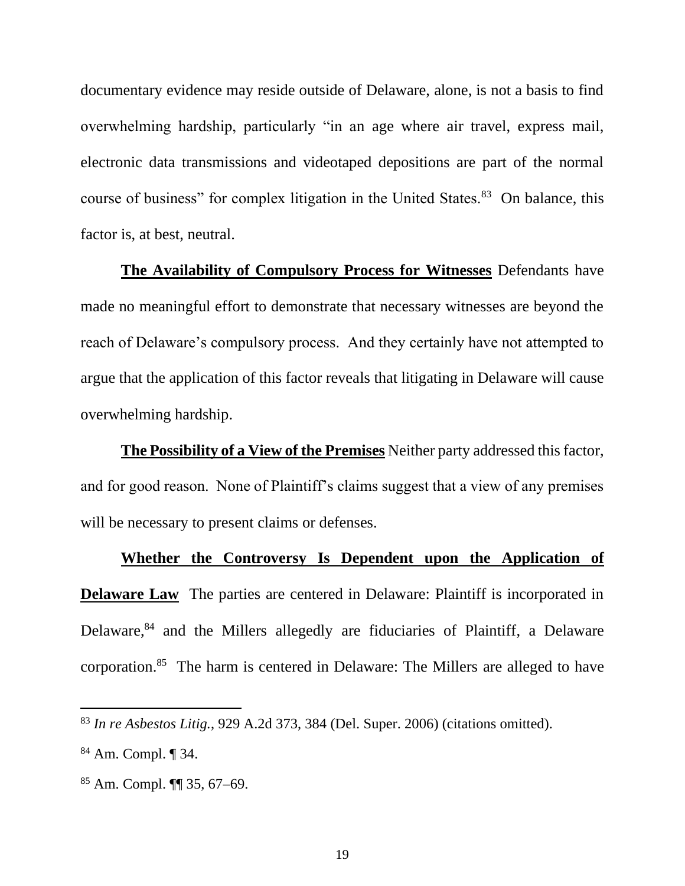documentary evidence may reside outside of Delaware, alone, is not a basis to find overwhelming hardship, particularly "in an age where air travel, express mail, electronic data transmissions and videotaped depositions are part of the normal course of business" for complex litigation in the United States.<sup>83</sup> On balance, this factor is, at best, neutral.

**The Availability of Compulsory Process for Witnesses** Defendants have made no meaningful effort to demonstrate that necessary witnesses are beyond the reach of Delaware's compulsory process. And they certainly have not attempted to argue that the application of this factor reveals that litigating in Delaware will cause overwhelming hardship.

**The Possibility of a View of the Premises** Neither party addressed this factor, and for good reason. None of Plaintiff's claims suggest that a view of any premises will be necessary to present claims or defenses.

# **Whether the Controversy Is Dependent upon the Application of**

**Delaware Law** The parties are centered in Delaware: Plaintiff is incorporated in Delaware,<sup>84</sup> and the Millers allegedly are fiduciaries of Plaintiff, a Delaware corporation. 85 The harm is centered in Delaware: The Millers are alleged to have

<sup>83</sup> *In re Asbestos Litig.*, 929 A.2d 373, 384 (Del. Super. 2006) (citations omitted).

<sup>84</sup> Am. Compl. ¶ 34.

<sup>85</sup> Am. Compl. ¶¶ 35, 67–69.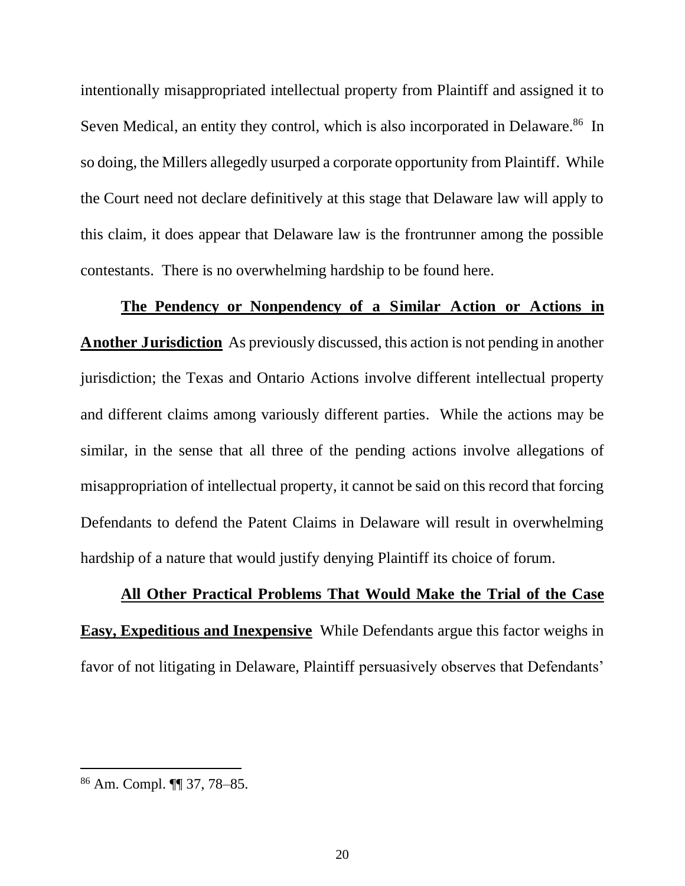intentionally misappropriated intellectual property from Plaintiff and assigned it to Seven Medical, an entity they control, which is also incorporated in Delaware.<sup>86</sup> In so doing, the Millers allegedly usurped a corporate opportunity from Plaintiff. While the Court need not declare definitively at this stage that Delaware law will apply to this claim, it does appear that Delaware law is the frontrunner among the possible contestants. There is no overwhelming hardship to be found here.

**The Pendency or Nonpendency of a Similar Action or Actions in Another Jurisdiction** As previously discussed, this action is not pending in another jurisdiction; the Texas and Ontario Actions involve different intellectual property and different claims among variously different parties. While the actions may be similar, in the sense that all three of the pending actions involve allegations of misappropriation of intellectual property, it cannot be said on this record that forcing Defendants to defend the Patent Claims in Delaware will result in overwhelming hardship of a nature that would justify denying Plaintiff its choice of forum.

#### **All Other Practical Problems That Would Make the Trial of the Case**

**Easy, Expeditious and Inexpensive** While Defendants argue this factor weighs in favor of not litigating in Delaware, Plaintiff persuasively observes that Defendants'

<sup>86</sup> Am. Compl. ¶¶ 37, 78–85.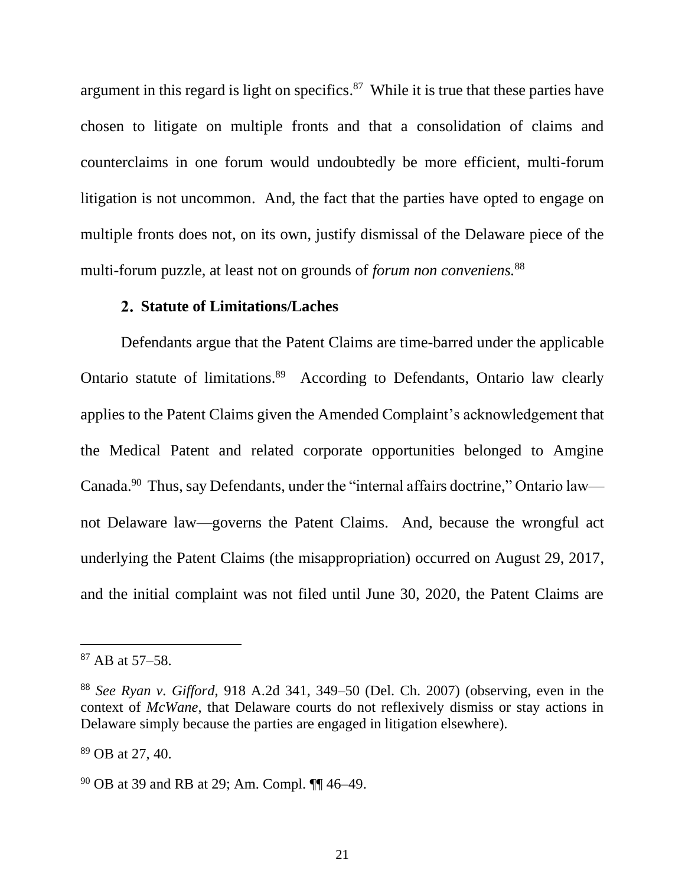argument in this regard is light on specifics. $87$  While it is true that these parties have chosen to litigate on multiple fronts and that a consolidation of claims and counterclaims in one forum would undoubtedly be more efficient, multi-forum litigation is not uncommon. And, the fact that the parties have opted to engage on multiple fronts does not, on its own, justify dismissal of the Delaware piece of the multi-forum puzzle, at least not on grounds of *forum non conveniens.*<sup>88</sup>

# **Statute of Limitations/Laches**

Defendants argue that the Patent Claims are time-barred under the applicable Ontario statute of limitations.<sup>89</sup> According to Defendants, Ontario law clearly applies to the Patent Claims given the Amended Complaint's acknowledgement that the Medical Patent and related corporate opportunities belonged to Amgine Canada.<sup>90</sup> Thus, say Defendants, under the "internal affairs doctrine," Ontario law not Delaware law—governs the Patent Claims. And, because the wrongful act underlying the Patent Claims (the misappropriation) occurred on August 29, 2017, and the initial complaint was not filed until June 30, 2020, the Patent Claims are

<sup>87</sup> AB at 57–58.

<sup>88</sup> *See Ryan v. Gifford*, 918 A.2d 341, 349–50 (Del. Ch. 2007) (observing, even in the context of *McWane*, that Delaware courts do not reflexively dismiss or stay actions in Delaware simply because the parties are engaged in litigation elsewhere).

<sup>89</sup> OB at 27, 40.

<sup>90</sup> OB at 39 and RB at 29; Am. Compl. ¶¶ 46–49.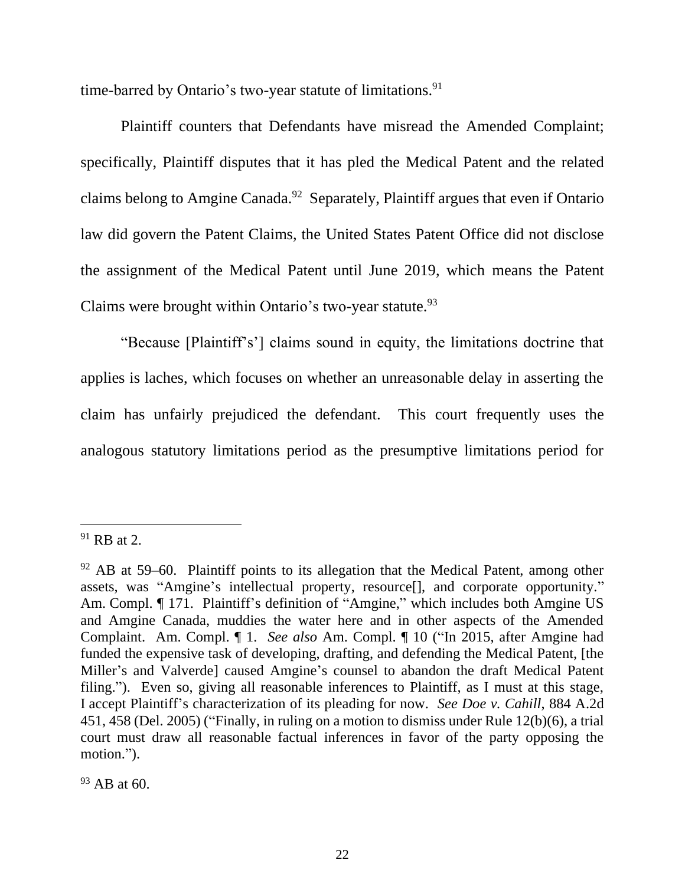time-barred by Ontario's two-year statute of limitations.<sup>91</sup>

Plaintiff counters that Defendants have misread the Amended Complaint; specifically, Plaintiff disputes that it has pled the Medical Patent and the related claims belong to Amgine Canada.<sup>92</sup> Separately, Plaintiff argues that even if Ontario law did govern the Patent Claims, the United States Patent Office did not disclose the assignment of the Medical Patent until June 2019, which means the Patent Claims were brought within Ontario's two-year statute.<sup>93</sup>

"Because [Plaintiff's'] claims sound in equity, the limitations doctrine that applies is laches, which focuses on whether an unreasonable delay in asserting the claim has unfairly prejudiced the defendant. This court frequently uses the analogous statutory limitations period as the presumptive limitations period for

 $91$  RB at 2.

 $92$  AB at 59–60. Plaintiff points to its allegation that the Medical Patent, among other assets, was "Amgine's intellectual property, resource[], and corporate opportunity." Am. Compl. ¶ 171. Plaintiff's definition of "Amgine," which includes both Amgine US and Amgine Canada, muddies the water here and in other aspects of the Amended Complaint. Am. Compl. ¶ 1. *See also* Am. Compl. ¶ 10 ("In 2015, after Amgine had funded the expensive task of developing, drafting, and defending the Medical Patent, [the Miller's and Valverde] caused Amgine's counsel to abandon the draft Medical Patent filing."). Even so, giving all reasonable inferences to Plaintiff, as I must at this stage, I accept Plaintiff's characterization of its pleading for now. *See Doe v. Cahill*, 884 A.2d 451, 458 (Del. 2005) ("Finally, in ruling on a motion to dismiss under Rule 12(b)(6), a trial court must draw all reasonable factual inferences in favor of the party opposing the motion.").

 $93$  AB at 60.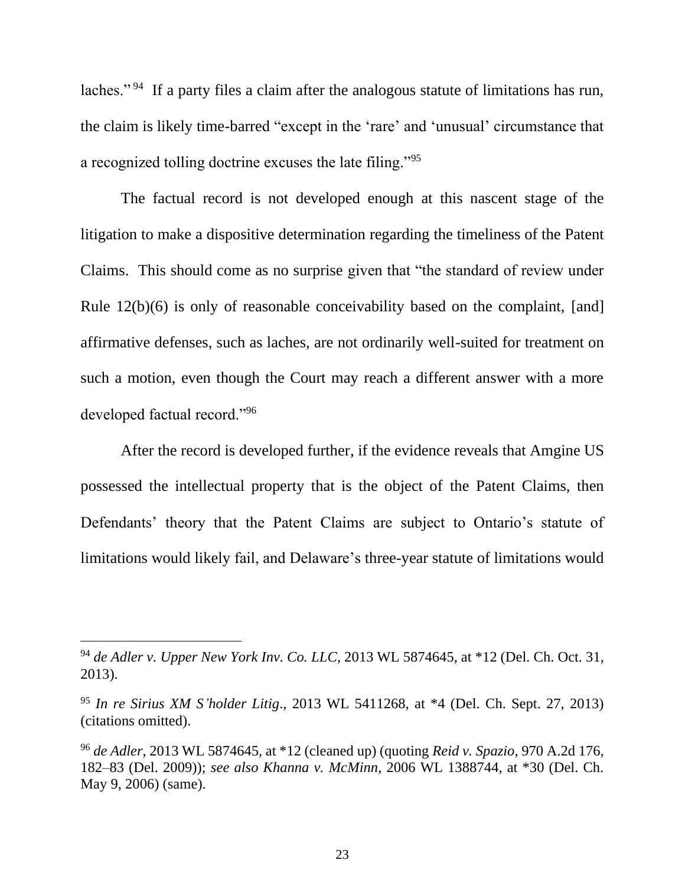laches."<sup>94</sup> If a party files a claim after the analogous statute of limitations has run, the claim is likely time-barred "except in the 'rare' and 'unusual' circumstance that a recognized tolling doctrine excuses the late filing."<sup>95</sup>

The factual record is not developed enough at this nascent stage of the litigation to make a dispositive determination regarding the timeliness of the Patent Claims. This should come as no surprise given that "the standard of review under Rule 12(b)(6) is only of reasonable conceivability based on the complaint, [and] affirmative defenses, such as laches, are not ordinarily well-suited for treatment on such a motion, even though the Court may reach a different answer with a more developed factual record."<sup>96</sup>

After the record is developed further, if the evidence reveals that Amgine US possessed the intellectual property that is the object of the Patent Claims, then Defendants' theory that the Patent Claims are subject to Ontario's statute of limitations would likely fail, and Delaware's three-year statute of limitations would

<sup>94</sup> *de Adler v. Upper New York Inv. Co. LLC*, 2013 WL 5874645, at \*12 (Del. Ch. Oct. 31, 2013).

<sup>95</sup> *In re Sirius XM S'holder Litig*., 2013 WL 5411268, at \*4 (Del. Ch. Sept. 27, 2013) (citations omitted).

<sup>96</sup> *de Adler*, 2013 WL 5874645, at \*12 (cleaned up) (quoting *Reid v. Spazio*, 970 A.2d 176, 182–83 (Del. 2009)); *see also Khanna v. McMinn*, 2006 WL 1388744, at \*30 (Del. Ch. May 9, 2006) (same).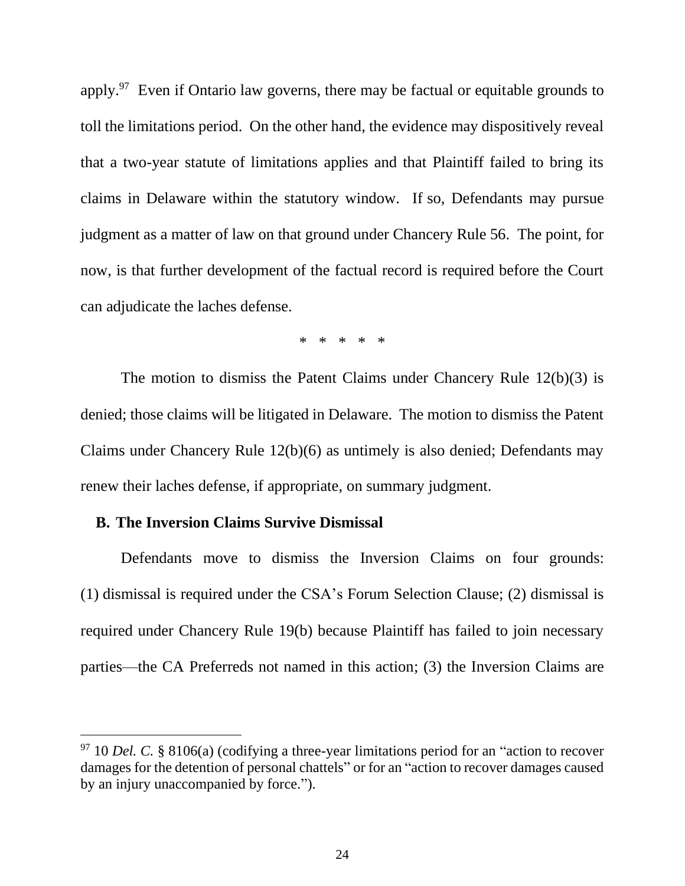apply.<sup>97</sup> Even if Ontario law governs, there may be factual or equitable grounds to toll the limitations period. On the other hand, the evidence may dispositively reveal that a two-year statute of limitations applies and that Plaintiff failed to bring its claims in Delaware within the statutory window. If so, Defendants may pursue judgment as a matter of law on that ground under Chancery Rule 56. The point, for now, is that further development of the factual record is required before the Court can adjudicate the laches defense.

\* \* \* \* \*

The motion to dismiss the Patent Claims under Chancery Rule 12(b)(3) is denied; those claims will be litigated in Delaware. The motion to dismiss the Patent Claims under Chancery Rule 12(b)(6) as untimely is also denied; Defendants may renew their laches defense, if appropriate, on summary judgment.

### **B. The Inversion Claims Survive Dismissal**

Defendants move to dismiss the Inversion Claims on four grounds: (1) dismissal is required under the CSA's Forum Selection Clause; (2) dismissal is required under Chancery Rule 19(b) because Plaintiff has failed to join necessary parties––the CA Preferreds not named in this action; (3) the Inversion Claims are

<sup>&</sup>lt;sup>97</sup> 10 *Del.* C. § 8106(a) (codifying a three-year limitations period for an "action to recover damages for the detention of personal chattels" or for an "action to recover damages caused by an injury unaccompanied by force.").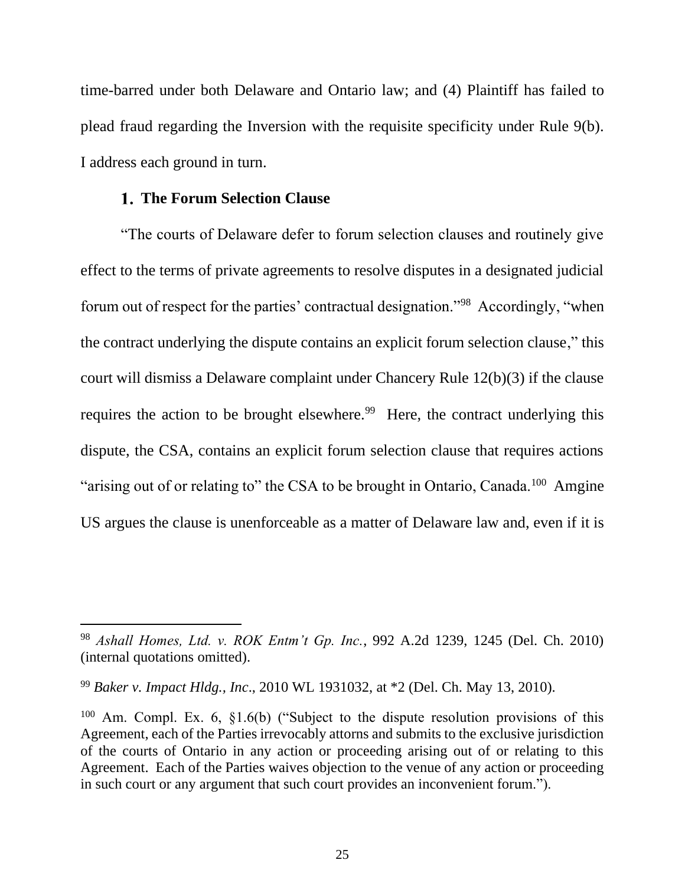time-barred under both Delaware and Ontario law; and (4) Plaintiff has failed to plead fraud regarding the Inversion with the requisite specificity under Rule 9(b). I address each ground in turn.

### **The Forum Selection Clause**

"The courts of Delaware defer to forum selection clauses and routinely give effect to the terms of private agreements to resolve disputes in a designated judicial forum out of respect for the parties' contractual designation."<sup>98</sup> Accordingly, "when the contract underlying the dispute contains an explicit forum selection clause," this court will dismiss a Delaware complaint under Chancery Rule 12(b)(3) if the clause requires the action to be brought elsewhere.<sup>99</sup> Here, the contract underlying this dispute, the CSA, contains an explicit forum selection clause that requires actions "arising out of or relating to" the CSA to be brought in Ontario, Canada.<sup>100</sup> Amgine US argues the clause is unenforceable as a matter of Delaware law and, even if it is

<sup>98</sup> *Ashall Homes, Ltd. v. ROK Entm't Gp. Inc.*, 992 A.2d 1239, 1245 (Del. Ch. 2010) (internal quotations omitted).

<sup>99</sup> *Baker v. Impact Hldg., Inc*., 2010 WL 1931032, at \*2 (Del. Ch. May 13, 2010).

 $100$  Am. Compl. Ex. 6, §1.6(b) ("Subject to the dispute resolution provisions of this Agreement, each of the Parties irrevocably attorns and submits to the exclusive jurisdiction of the courts of Ontario in any action or proceeding arising out of or relating to this Agreement. Each of the Parties waives objection to the venue of any action or proceeding in such court or any argument that such court provides an inconvenient forum.").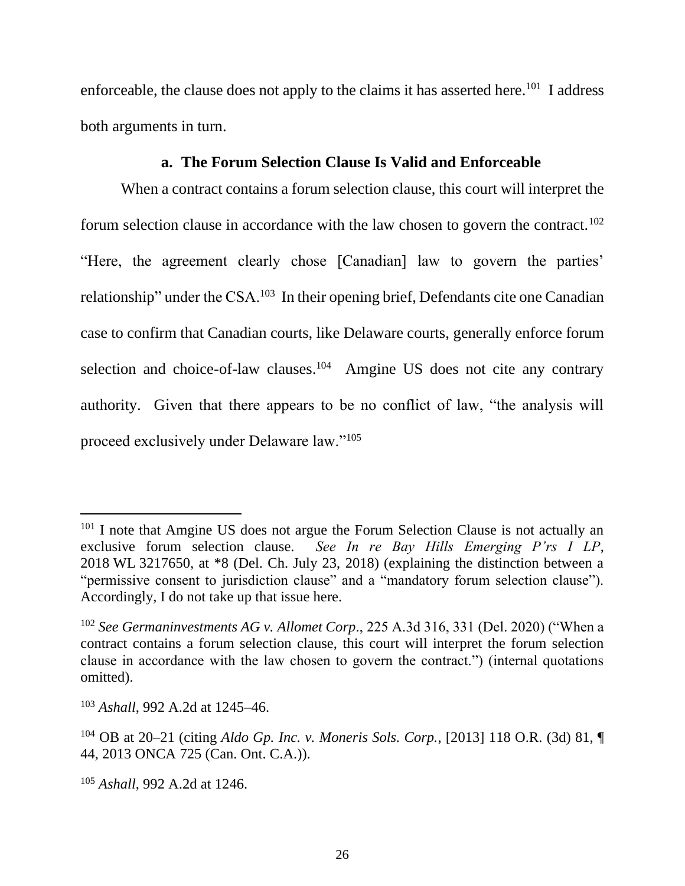enforceable, the clause does not apply to the claims it has asserted here.<sup>101</sup> I address both arguments in turn.

# **a. The Forum Selection Clause Is Valid and Enforceable**

When a contract contains a forum selection clause, this court will interpret the forum selection clause in accordance with the law chosen to govern the contract.<sup>102</sup> "Here, the agreement clearly chose [Canadian] law to govern the parties' relationship" under the CSA.<sup>103</sup> In their opening brief, Defendants cite one Canadian case to confirm that Canadian courts, like Delaware courts, generally enforce forum selection and choice-of-law clauses.<sup>104</sup> Amgine US does not cite any contrary authority. Given that there appears to be no conflict of law, "the analysis will proceed exclusively under Delaware law."<sup>105</sup>

<sup>&</sup>lt;sup>101</sup> I note that Amgine US does not argue the Forum Selection Clause is not actually an exclusive forum selection clause. *See In re Bay Hills Emerging P'rs I LP*, 2018 WL 3217650, at \*8 (Del. Ch. July 23, 2018) (explaining the distinction between a "permissive consent to jurisdiction clause" and a "mandatory forum selection clause"). Accordingly, I do not take up that issue here.

<sup>102</sup> *See Germaninvestments AG v. Allomet Corp*., 225 A.3d 316, 331 (Del. 2020) ("When a contract contains a forum selection clause, this court will interpret the forum selection clause in accordance with the law chosen to govern the contract.") (internal quotations omitted).

<sup>103</sup> *Ashall*, 992 A.2d at 1245–46.

<sup>104</sup> OB at 20–21 (citing *Aldo Gp. Inc. v. Moneris Sols. Corp.*, [2013] 118 O.R. (3d) 81, ¶ 44, 2013 ONCA 725 (Can. Ont. C.A.)).

<sup>105</sup> *Ashall*, 992 A.2d at 1246.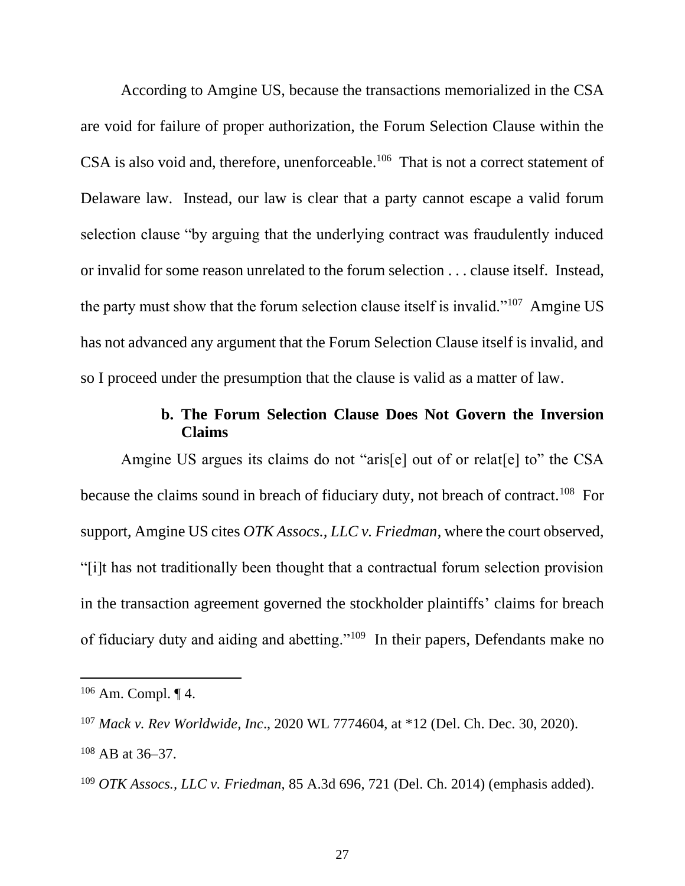According to Amgine US, because the transactions memorialized in the CSA are void for failure of proper authorization, the Forum Selection Clause within the CSA is also void and, therefore, unenforceable.<sup>106</sup> That is not a correct statement of Delaware law. Instead, our law is clear that a party cannot escape a valid forum selection clause "by arguing that the underlying contract was fraudulently induced or invalid for some reason unrelated to the forum selection . . . clause itself. Instead, the party must show that the forum selection clause itself is invalid."<sup>107</sup> Amgine US has not advanced any argument that the Forum Selection Clause itself is invalid, and so I proceed under the presumption that the clause is valid as a matter of law.

# **b. The Forum Selection Clause Does Not Govern the Inversion Claims**

Amgine US argues its claims do not "aris[e] out of or relat[e] to" the CSA because the claims sound in breach of fiduciary duty, not breach of contract.<sup>108</sup> For support, Amgine US cites *OTK Assocs., LLC v. Friedman*, where the court observed, "[i]t has not traditionally been thought that a contractual forum selection provision in the transaction agreement governed the stockholder plaintiffs' claims for breach of fiduciary duty and aiding and abetting."<sup>109</sup> In their papers, Defendants make no

 $106$  Am. Compl.  $\P$  4.

<sup>107</sup> *Mack v. Rev Worldwide, Inc*., 2020 WL 7774604, at \*12 (Del. Ch. Dec. 30, 2020). <sup>108</sup> AB at 36–37.

<sup>109</sup> *OTK Assocs., LLC v. Friedman*, 85 A.3d 696, 721 (Del. Ch. 2014) (emphasis added).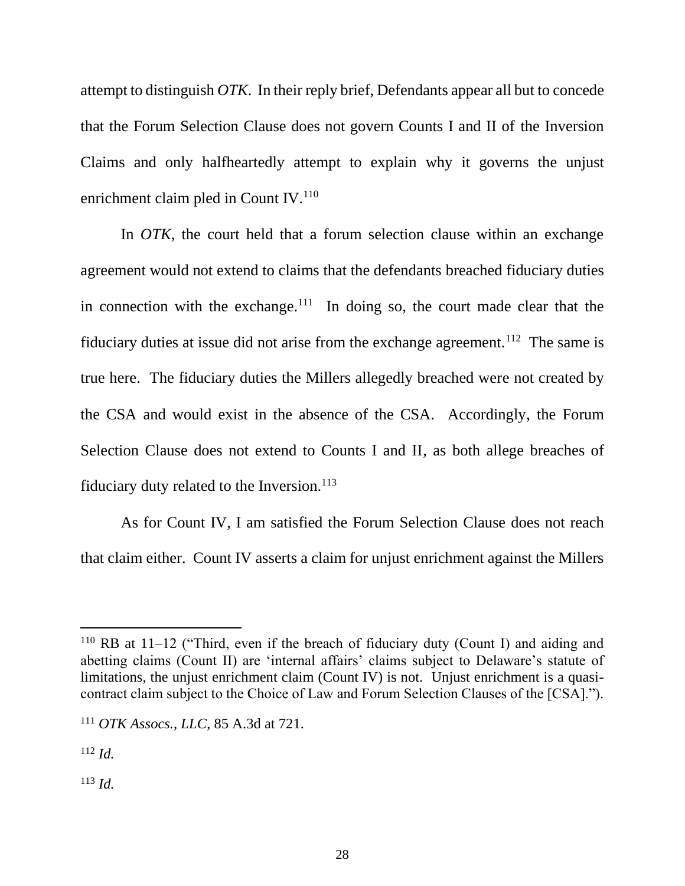attempt to distinguish *OTK*. In their reply brief, Defendants appear all but to concede that the Forum Selection Clause does not govern Counts I and II of the Inversion Claims and only halfheartedly attempt to explain why it governs the unjust enrichment claim pled in Count IV.<sup>110</sup>

In *OTK*, the court held that a forum selection clause within an exchange agreement would not extend to claims that the defendants breached fiduciary duties in connection with the exchange. $111$  In doing so, the court made clear that the fiduciary duties at issue did not arise from the exchange agreement.<sup>112</sup> The same is true here. The fiduciary duties the Millers allegedly breached were not created by the CSA and would exist in the absence of the CSA. Accordingly, the Forum Selection Clause does not extend to Counts I and II, as both allege breaches of fiduciary duty related to the Inversion. $113$ 

As for Count IV, I am satisfied the Forum Selection Clause does not reach that claim either. Count IV asserts a claim for unjust enrichment against the Millers

<sup>112</sup> *Id.*

<sup>113</sup> *Id.*

 $110$  RB at 11–12 ("Third, even if the breach of fiduciary duty (Count I) and aiding and abetting claims (Count II) are 'internal affairs' claims subject to Delaware's statute of limitations, the unjust enrichment claim (Count IV) is not. Unjust enrichment is a quasicontract claim subject to the Choice of Law and Forum Selection Clauses of the [CSA].").

<sup>111</sup> *OTK Assocs., LLC*, 85 A.3d at 721.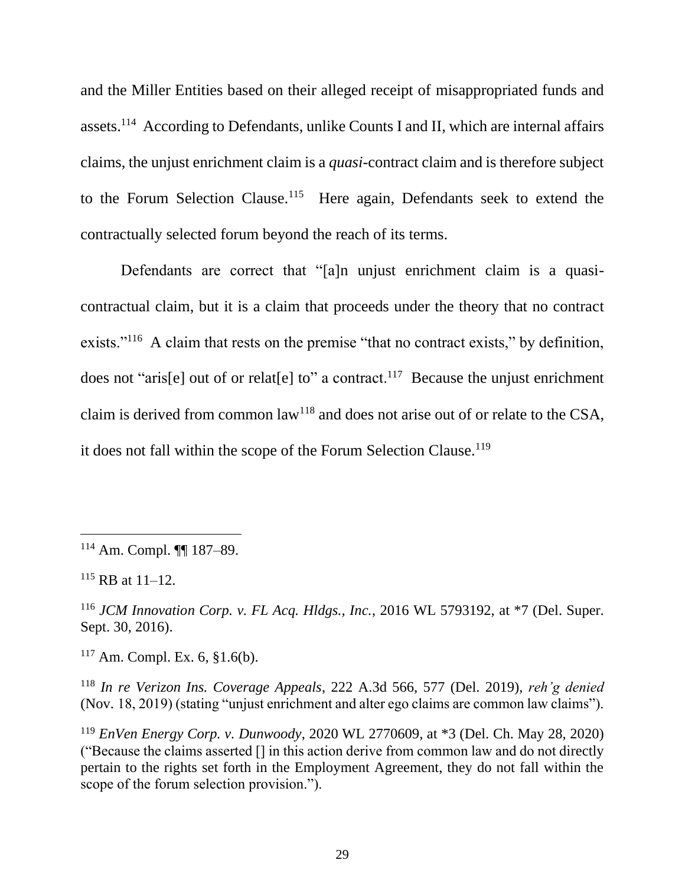and the Miller Entities based on their alleged receipt of misappropriated funds and assets.<sup>114</sup> According to Defendants, unlike Counts I and II, which are internal affairs claims, the unjust enrichment claim is a *quasi*-contract claim and is therefore subject to the Forum Selection Clause.<sup>115</sup> Here again, Defendants seek to extend the contractually selected forum beyond the reach of its terms.

Defendants are correct that "[a]n unjust enrichment claim is a quasicontractual claim, but it is a claim that proceeds under the theory that no contract exists."<sup>116</sup> A claim that rests on the premise "that no contract exists," by definition, does not "aris[e] out of or relat[e] to" a contract.<sup>117</sup> Because the unjust enrichment claim is derived from common law<sup>118</sup> and does not arise out of or relate to the CSA, it does not fall within the scope of the Forum Selection Clause.<sup>119</sup>

 $115$  RB at  $11-12$ .

<sup>116</sup> *JCM Innovation Corp. v. FL Acq. Hldgs., Inc.*, 2016 WL 5793192, at \*7 (Del. Super. Sept. 30, 2016).

 $117$  Am. Compl. Ex. 6, §1.6(b).

<sup>118</sup> *In re Verizon Ins. Coverage Appeals*, 222 A.3d 566, 577 (Del. 2019), *reh'g denied* (Nov. 18, 2019) (stating "unjust enrichment and alter ego claims are common law claims").

<sup>119</sup> *EnVen Energy Corp. v. Dunwoody*, 2020 WL 2770609, at \*3 (Del. Ch. May 28, 2020) ("Because the claims asserted [] in this action derive from common law and do not directly pertain to the rights set forth in the Employment Agreement, they do not fall within the scope of the forum selection provision.").

<sup>114</sup> Am. Compl. ¶¶ 187–89.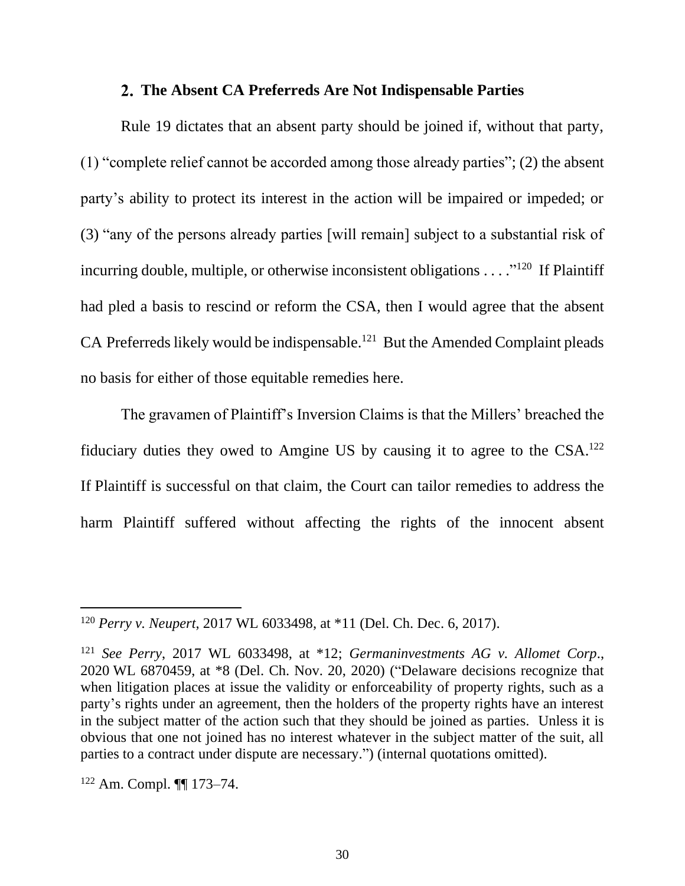### **The Absent CA Preferreds Are Not Indispensable Parties**

Rule 19 dictates that an absent party should be joined if, without that party, (1) "complete relief cannot be accorded among those already parties"; (2) the absent party's ability to protect its interest in the action will be impaired or impeded; or (3) "any of the persons already parties [will remain] subject to a substantial risk of incurring double, multiple, or otherwise inconsistent obligations  $\dots$ ."<sup>120</sup> If Plaintiff had pled a basis to rescind or reform the CSA, then I would agree that the absent CA Preferreds likely would be indispensable.<sup>121</sup> But the Amended Complaint pleads no basis for either of those equitable remedies here.

The gravamen of Plaintiff's Inversion Claims is that the Millers' breached the fiduciary duties they owed to Amgine US by causing it to agree to the  $CSA$ .<sup>122</sup> If Plaintiff is successful on that claim, the Court can tailor remedies to address the harm Plaintiff suffered without affecting the rights of the innocent absent

<sup>120</sup> *Perry v. Neupert*, 2017 WL 6033498, at \*11 (Del. Ch. Dec. 6, 2017).

<sup>121</sup> *See Perry*, 2017 WL 6033498, at \*12; *Germaninvestments AG v. Allomet Corp*., 2020 WL 6870459, at \*8 (Del. Ch. Nov. 20, 2020) ("Delaware decisions recognize that when litigation places at issue the validity or enforceability of property rights, such as a party's rights under an agreement, then the holders of the property rights have an interest in the subject matter of the action such that they should be joined as parties. Unless it is obvious that one not joined has no interest whatever in the subject matter of the suit, all parties to a contract under dispute are necessary.") (internal quotations omitted).

<sup>122</sup> Am. Compl. ¶¶ 173–74.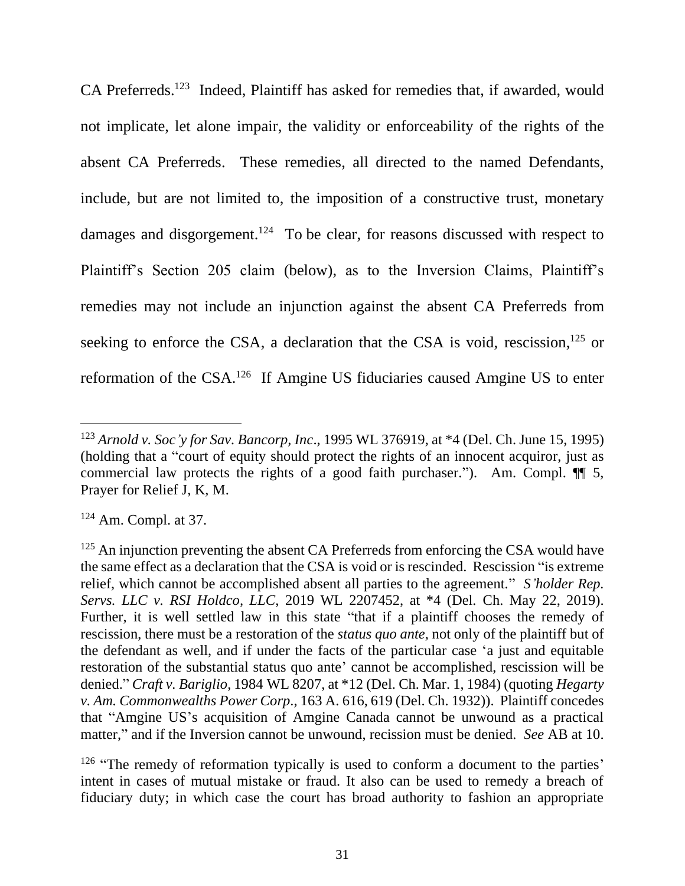CA Preferreds.<sup>123</sup> Indeed, Plaintiff has asked for remedies that, if awarded, would not implicate, let alone impair, the validity or enforceability of the rights of the absent CA Preferreds. These remedies, all directed to the named Defendants, include, but are not limited to, the imposition of a constructive trust, monetary damages and disgorgement.<sup>124</sup> To be clear, for reasons discussed with respect to Plaintiff's Section 205 claim (below), as to the Inversion Claims, Plaintiff's remedies may not include an injunction against the absent CA Preferreds from seeking to enforce the CSA, a declaration that the CSA is void, rescission,<sup>125</sup> or reformation of the CSA.<sup>126</sup> If Amgine US fiduciaries caused Amgine US to enter

<sup>123</sup> *Arnold v. Soc'y for Sav. Bancorp, Inc*., 1995 WL 376919, at \*4 (Del. Ch. June 15, 1995) (holding that a "court of equity should protect the rights of an innocent acquiror, just as commercial law protects the rights of a good faith purchaser."). Am. Compl. ¶¶ 5, Prayer for Relief J, K, M.

<sup>124</sup> Am. Compl. at 37.

 $125$  An injunction preventing the absent CA Preferreds from enforcing the CSA would have the same effect as a declaration that the CSA is void or is rescinded. Rescission "is extreme relief, which cannot be accomplished absent all parties to the agreement." *S'holder Rep. Servs. LLC v. RSI Holdco, LLC*, 2019 WL 2207452, at \*4 (Del. Ch. May 22, 2019). Further, it is well settled law in this state "that if a plaintiff chooses the remedy of rescission, there must be a restoration of the *status quo ante*, not only of the plaintiff but of the defendant as well, and if under the facts of the particular case 'a just and equitable restoration of the substantial status quo ante' cannot be accomplished, rescission will be denied." *Craft v. Bariglio*, 1984 WL 8207, at \*12 (Del. Ch. Mar. 1, 1984) (quoting *Hegarty v. Am. Commonwealths Power Corp*., 163 A. 616, 619 (Del. Ch. 1932)). Plaintiff concedes that "Amgine US's acquisition of Amgine Canada cannot be unwound as a practical matter," and if the Inversion cannot be unwound, recission must be denied. *See* AB at 10.

<sup>&</sup>lt;sup>126</sup> "The remedy of reformation typically is used to conform a document to the parties' intent in cases of mutual mistake or fraud. It also can be used to remedy a breach of fiduciary duty; in which case the court has broad authority to fashion an appropriate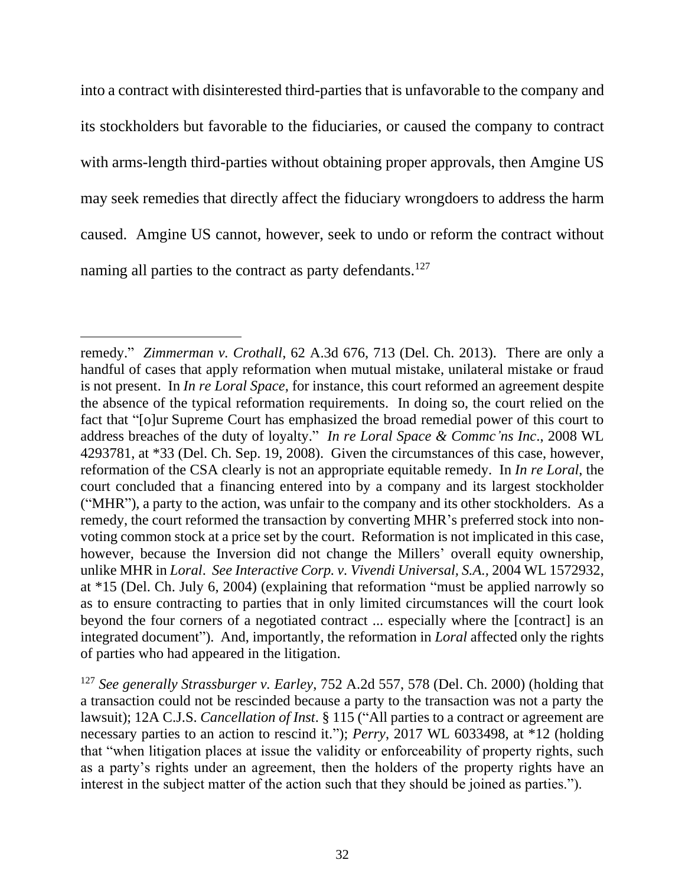into a contract with disinterested third-parties that is unfavorable to the company and its stockholders but favorable to the fiduciaries, or caused the company to contract with arms-length third-parties without obtaining proper approvals, then Amgine US may seek remedies that directly affect the fiduciary wrongdoers to address the harm caused. Amgine US cannot, however, seek to undo or reform the contract without naming all parties to the contract as party defendants.<sup>127</sup>

remedy." *Zimmerman v. Crothall*, 62 A.3d 676, 713 (Del. Ch. 2013). There are only a handful of cases that apply reformation when mutual mistake, unilateral mistake or fraud is not present. In *In re Loral Space*, for instance, this court reformed an agreement despite the absence of the typical reformation requirements. In doing so, the court relied on the fact that "[o]ur Supreme Court has emphasized the broad remedial power of this court to address breaches of the duty of loyalty." *In re Loral Space & Commc'ns Inc*., 2008 WL 4293781, at \*33 (Del. Ch. Sep. 19, 2008). Given the circumstances of this case, however, reformation of the CSA clearly is not an appropriate equitable remedy. In *In re Loral*, the court concluded that a financing entered into by a company and its largest stockholder ("MHR"), a party to the action, was unfair to the company and its other stockholders. As a remedy, the court reformed the transaction by converting MHR's preferred stock into nonvoting common stock at a price set by the court. Reformation is not implicated in this case, however, because the Inversion did not change the Millers' overall equity ownership, unlike MHR in *Loral*. *See Interactive Corp. v. Vivendi Universal, S.A.,* 2004 WL 1572932, at \*15 (Del. Ch. July 6, 2004) (explaining that reformation "must be applied narrowly so as to ensure contracting to parties that in only limited circumstances will the court look beyond the four corners of a negotiated contract ... especially where the [contract] is an integrated document"). And, importantly, the reformation in *Loral* affected only the rights of parties who had appeared in the litigation.

<sup>127</sup> *See generally Strassburger v. Earley*, 752 A.2d 557, 578 (Del. Ch. 2000) (holding that a transaction could not be rescinded because a party to the transaction was not a party the lawsuit); 12A C.J.S. *Cancellation of Inst*. § 115 ("All parties to a contract or agreement are necessary parties to an action to rescind it."); *Perry*, 2017 WL 6033498, at \*12 (holding that "when litigation places at issue the validity or enforceability of property rights, such as a party's rights under an agreement, then the holders of the property rights have an interest in the subject matter of the action such that they should be joined as parties.").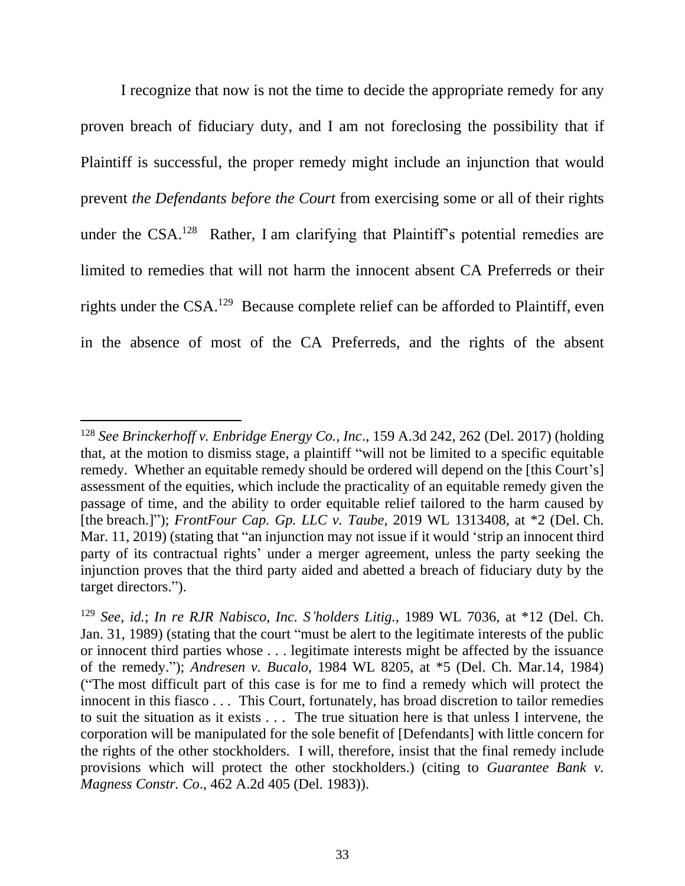I recognize that now is not the time to decide the appropriate remedy for any proven breach of fiduciary duty, and I am not foreclosing the possibility that if Plaintiff is successful, the proper remedy might include an injunction that would prevent *the Defendants before the Court* from exercising some or all of their rights under the CSA.<sup>128</sup> Rather, I am clarifying that Plaintiff's potential remedies are limited to remedies that will not harm the innocent absent CA Preferreds or their rights under the CSA.<sup>129</sup> Because complete relief can be afforded to Plaintiff, even in the absence of most of the CA Preferreds, and the rights of the absent

<sup>128</sup> *See Brinckerhoff v. Enbridge Energy Co., Inc*., 159 A.3d 242, 262 (Del. 2017) (holding that, at the motion to dismiss stage, a plaintiff "will not be limited to a specific equitable remedy. Whether an equitable remedy should be ordered will depend on the [this Court's] assessment of the equities, which include the practicality of an equitable remedy given the passage of time, and the ability to order equitable relief tailored to the harm caused by [the breach.]"); *FrontFour Cap. Gp. LLC v. Taube*, 2019 WL 1313408, at \*2 (Del. Ch. Mar. 11, 2019) (stating that "an injunction may not issue if it would 'strip an innocent third party of its contractual rights' under a merger agreement, unless the party seeking the injunction proves that the third party aided and abetted a breach of fiduciary duty by the target directors.").

<sup>129</sup> *See, id.*; *In re RJR Nabisco, Inc. S'holders Litig.*, 1989 WL 7036, at \*12 (Del. Ch. Jan. 31, 1989) (stating that the court "must be alert to the legitimate interests of the public or innocent third parties whose . . . legitimate interests might be affected by the issuance of the remedy."); *Andresen v. Bucalo*, 1984 WL 8205, at \*5 (Del. Ch. Mar.14, 1984) ("The most difficult part of this case is for me to find a remedy which will protect the innocent in this fiasco . . . This Court, fortunately, has broad discretion to tailor remedies to suit the situation as it exists . . . The true situation here is that unless I intervene, the corporation will be manipulated for the sole benefit of [Defendants] with little concern for the rights of the other stockholders. I will, therefore, insist that the final remedy include provisions which will protect the other stockholders.) (citing to *Guarantee Bank v. Magness Constr. Co*., 462 A.2d 405 (Del. 1983)).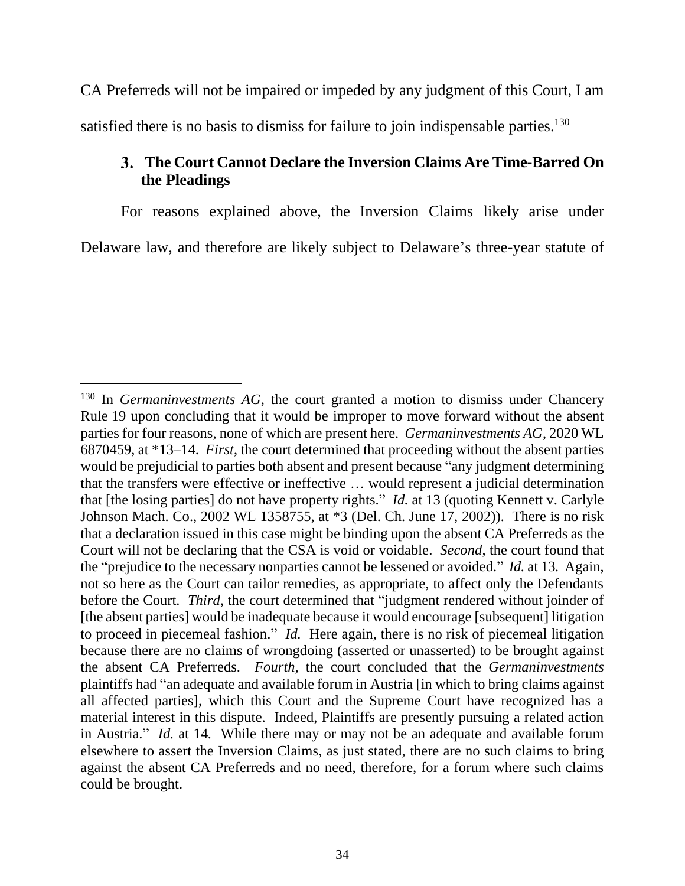CA Preferreds will not be impaired or impeded by any judgment of this Court, I am satisfied there is no basis to dismiss for failure to join indispensable parties.<sup>130</sup>

# **The Court Cannot Declare the Inversion Claims Are Time-Barred On the Pleadings**

For reasons explained above, the Inversion Claims likely arise under Delaware law, and therefore are likely subject to Delaware's three-year statute of

<sup>&</sup>lt;sup>130</sup> In *Germaninvestments AG*, the court granted a motion to dismiss under Chancery Rule 19 upon concluding that it would be improper to move forward without the absent parties for four reasons, none of which are present here. *Germaninvestments AG*, 2020 WL 6870459, at \*13–14. *First*, the court determined that proceeding without the absent parties would be prejudicial to parties both absent and present because "any judgment determining that the transfers were effective or ineffective … would represent a judicial determination that [the losing parties] do not have property rights." *Id.* at 13 (quoting Kennett v. Carlyle Johnson Mach. Co., 2002 WL 1358755, at \*3 (Del. Ch. June 17, 2002))*.* There is no risk that a declaration issued in this case might be binding upon the absent CA Preferreds as the Court will not be declaring that the CSA is void or voidable. *Second*, the court found that the "prejudice to the necessary nonparties cannot be lessened or avoided." *Id.* at 13*.* Again, not so here as the Court can tailor remedies, as appropriate, to affect only the Defendants before the Court. *Third*, the court determined that "judgment rendered without joinder of [the absent parties] would be inadequate because it would encourage [subsequent] litigation to proceed in piecemeal fashion." *Id.* Here again, there is no risk of piecemeal litigation because there are no claims of wrongdoing (asserted or unasserted) to be brought against the absent CA Preferreds. *Fourth*, the court concluded that the *Germaninvestments*  plaintiffs had "an adequate and available forum in Austria [in which to bring claims against all affected parties], which this Court and the Supreme Court have recognized has a material interest in this dispute. Indeed, Plaintiffs are presently pursuing a related action in Austria." *Id.* at 14*.* While there may or may not be an adequate and available forum elsewhere to assert the Inversion Claims, as just stated, there are no such claims to bring against the absent CA Preferreds and no need, therefore, for a forum where such claims could be brought.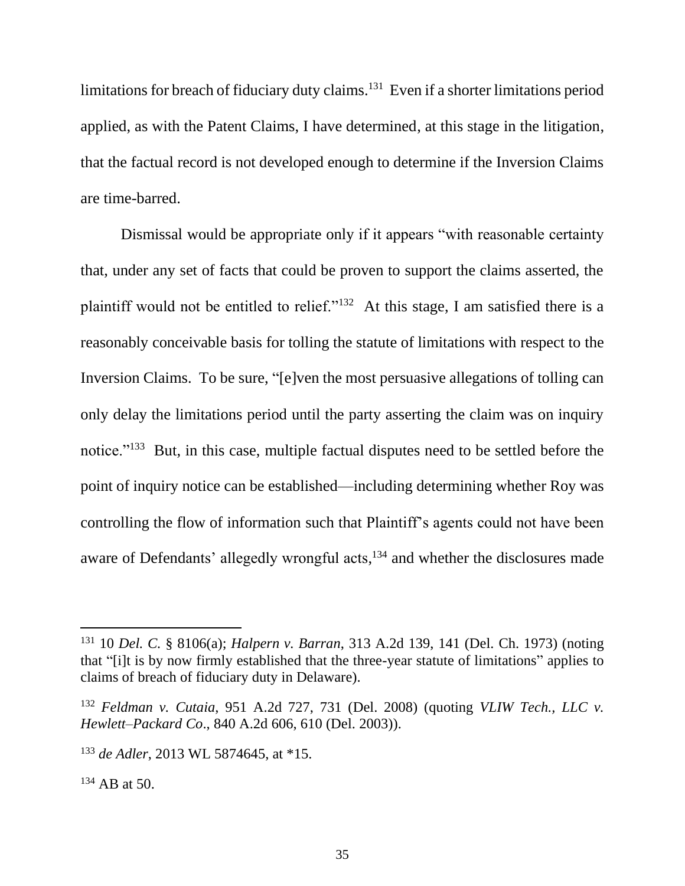limitations for breach of fiduciary duty claims.<sup>131</sup> Even if a shorter limitations period applied, as with the Patent Claims, I have determined, at this stage in the litigation, that the factual record is not developed enough to determine if the Inversion Claims are time-barred.

Dismissal would be appropriate only if it appears "with reasonable certainty that, under any set of facts that could be proven to support the claims asserted, the plaintiff would not be entitled to relief."<sup>132</sup> At this stage, I am satisfied there is a reasonably conceivable basis for tolling the statute of limitations with respect to the Inversion Claims. To be sure, "[e]ven the most persuasive allegations of tolling can only delay the limitations period until the party asserting the claim was on inquiry notice."<sup>133</sup> But, in this case, multiple factual disputes need to be settled before the point of inquiry notice can be established—including determining whether Roy was controlling the flow of information such that Plaintiff's agents could not have been aware of Defendants' allegedly wrongful acts,<sup>134</sup> and whether the disclosures made

<sup>131</sup> 10 *Del. C.* § 8106(a); *Halpern v. Barran*, 313 A.2d 139, 141 (Del. Ch. 1973) (noting that "[i]t is by now firmly established that the three-year statute of limitations" applies to claims of breach of fiduciary duty in Delaware).

<sup>132</sup> *Feldman v. Cutaia*, 951 A.2d 727, 731 (Del. 2008) (quoting *VLIW Tech., LLC v. Hewlett–Packard Co*., 840 A.2d 606, 610 (Del. 2003)).

<sup>133</sup> *de Adler*, 2013 WL 5874645, at \*15.

 $134$  AB at 50.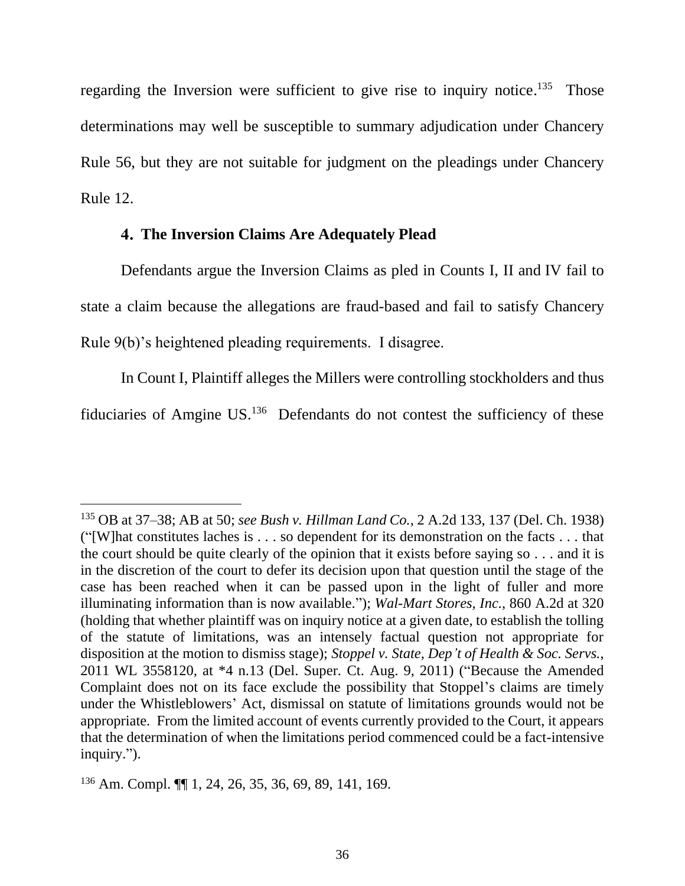regarding the Inversion were sufficient to give rise to inquiry notice.<sup>135</sup> Those determinations may well be susceptible to summary adjudication under Chancery Rule 56, but they are not suitable for judgment on the pleadings under Chancery Rule 12.

### **The Inversion Claims Are Adequately Plead**

Defendants argue the Inversion Claims as pled in Counts I, II and IV fail to state a claim because the allegations are fraud-based and fail to satisfy Chancery Rule 9(b)'s heightened pleading requirements. I disagree.

In Count I, Plaintiff alleges the Millers were controlling stockholders and thus fiduciaries of Amgine US.<sup>136</sup> Defendants do not contest the sufficiency of these

<sup>135</sup> OB at 37–38; AB at 50; *see [Bush v. Hillman Land Co.](http://www.westlaw.com/Link/Document/FullText?findType=Y&serNum=1938116255&pubNum=0000162&originatingDoc=I76ebbd10011311ec8cc1ca5e79b1b862&refType=RP&fi=co_pp_sp_162_136&originationContext=document&vr=3.0&rs=cblt1.0&transitionType=DocumentItem&contextData=(sc.Search)#co_pp_sp_162_136)*, 2 A.2d 133, 137 (Del. Ch. 1938) ("[W]hat constitutes laches is . . . so dependent for its demonstration on the facts . . . that the court should be quite clearly of the opinion that it exists before saying so . . . and it is in the discretion of the court to defer its decision upon that question until the stage of the case has been reached when it can be passed upon in the light of fuller and more illuminating information than is now available."); *[Wal-Mart Stores, Inc.](http://www.westlaw.com/Link/Document/FullText?findType=Y&serNum=2005465911&pubNum=0000162&originatingDoc=I76ebbd10011311ec8cc1ca5e79b1b862&refType=RP&fi=co_pp_sp_162_320&originationContext=document&vr=3.0&rs=cblt1.0&transitionType=DocumentItem&contextData=(sc.Search)#co_pp_sp_162_320)*, 860 A.2d at 320 (holding that whether plaintiff was on inquiry notice at a given date, to establish the tolling of the statute of limitations, was an intensely factual question not appropriate for disposition at the motion to dismiss stage); *[Stoppel v. State, Dep't of Health & Soc. Servs.](http://www.westlaw.com/Link/Document/FullText?findType=Y&serNum=2025867777&pubNum=0000999&originatingDoc=I76ebbd10011311ec8cc1ca5e79b1b862&refType=RP&originationContext=document&vr=3.0&rs=cblt1.0&transitionType=DocumentItem&contextData=(sc.Search))*, [2011 WL 3558120, at \\*4 n.13 \(Del. Super.](http://www.westlaw.com/Link/Document/FullText?findType=Y&serNum=2025867777&pubNum=0000999&originatingDoc=I76ebbd10011311ec8cc1ca5e79b1b862&refType=RP&originationContext=document&vr=3.0&rs=cblt1.0&transitionType=DocumentItem&contextData=(sc.Search)) Ct. Aug. 9, 2011) ("Because the Amended Complaint does not on its face exclude the possibility that Stoppel's claims are timely under the Whistleblowers' Act, dismissal on statute of limitations grounds would not be appropriate. From the limited account of events currently provided to the Court, it appears that the determination of when the limitations period commenced could be a fact-intensive inquiry.").

<sup>136</sup> Am. Compl. ¶¶ 1, 24, 26, 35, 36, 69, 89, 141, 169.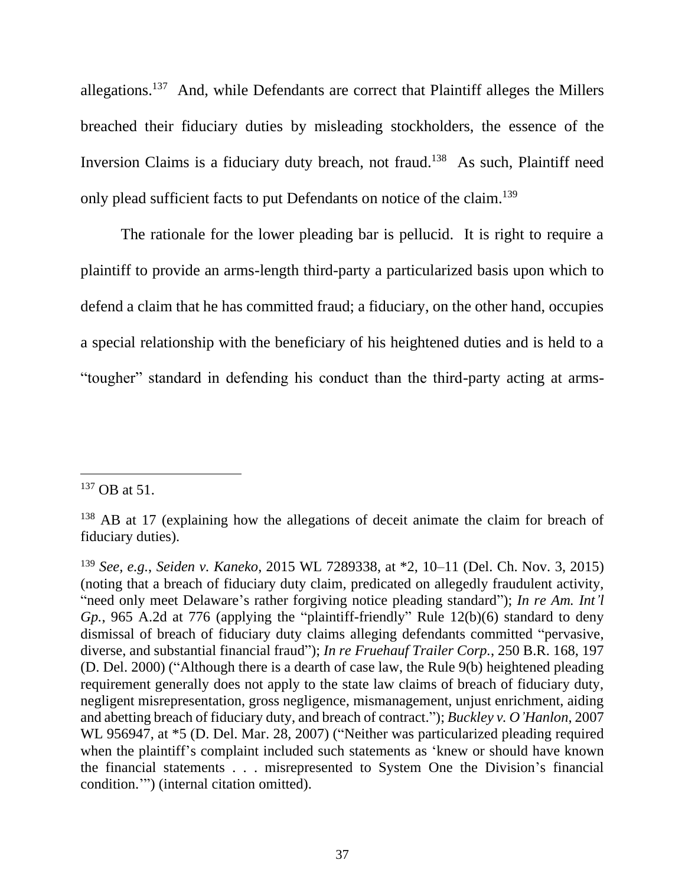allegations.<sup>137</sup> And, while Defendants are correct that Plaintiff alleges the Millers breached their fiduciary duties by misleading stockholders, the essence of the Inversion Claims is a fiduciary duty breach, not fraud.<sup>138</sup> As such, Plaintiff need only plead sufficient facts to put Defendants on notice of the claim.<sup>139</sup>

The rationale for the lower pleading bar is pellucid. It is right to require a plaintiff to provide an arms-length third-party a particularized basis upon which to defend a claim that he has committed fraud; a fiduciary, on the other hand, occupies a special relationship with the beneficiary of his heightened duties and is held to a "tougher" standard in defending his conduct than the third-party acting at arms-

 $137$  OB at 51.

<sup>&</sup>lt;sup>138</sup> AB at 17 (explaining how the allegations of deceit animate the claim for breach of fiduciary duties).

<sup>139</sup> *See, e.g.*, *Seiden v. Kaneko*, 2015 WL 7289338, at \*2, 10–11 (Del. Ch. Nov. 3, 2015) (noting that a breach of fiduciary duty claim, predicated on allegedly fraudulent activity, "need only meet Delaware's rather forgiving notice pleading standard"); *In re Am. Int'l Gp.*, 965 A.2d at 776 (applying the "plaintiff-friendly" Rule 12(b)(6) standard to deny dismissal of breach of fiduciary duty claims alleging defendants committed "pervasive, diverse, and substantial financial fraud"); *In re Fruehauf Trailer Corp.*, 250 B.R. 168, 197 (D. Del. 2000) ("Although there is a dearth of case law, the Rule 9(b) heightened pleading requirement generally does not apply to the state law claims of breach of fiduciary duty, negligent misrepresentation, gross negligence, mismanagement, unjust enrichment, aiding and abetting breach of fiduciary duty, and breach of contract."); *Buckley v. O'Hanlon*, 2007 WL 956947, at \*5 (D. Del. Mar. 28, 2007) ("Neither was particularized pleading required when the plaintiff's complaint included such statements as 'knew or should have known the financial statements . . . misrepresented to System One the Division's financial condition.'") (internal citation omitted).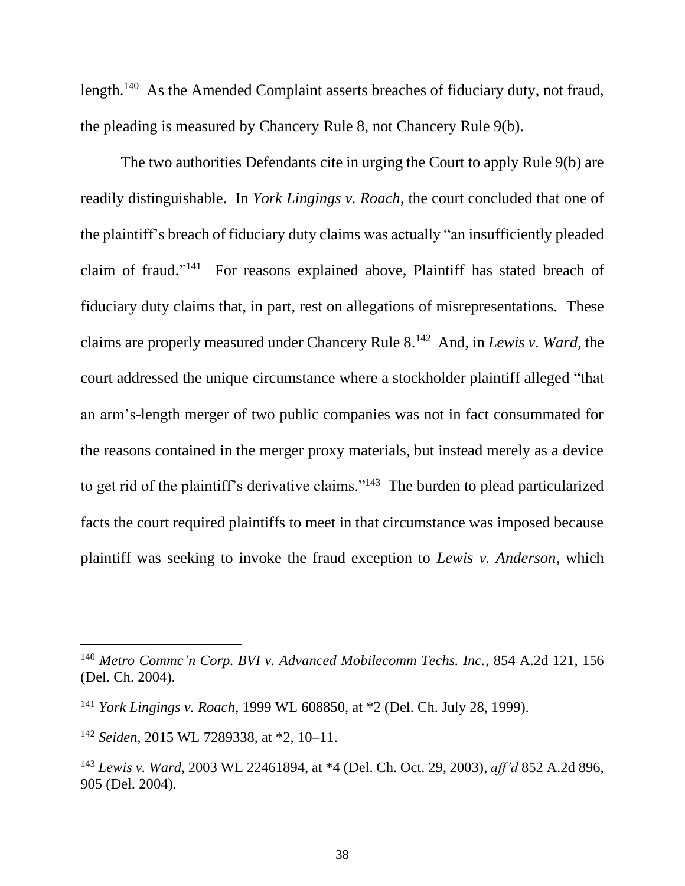length.<sup>140</sup> As the Amended Complaint asserts breaches of fiduciary duty, not fraud, the pleading is measured by Chancery Rule 8, not Chancery Rule 9(b).

The two authorities Defendants cite in urging the Court to apply Rule 9(b) are readily distinguishable. In *York Lingings v. Roach*, the court concluded that one of the plaintiff's breach of fiduciary duty claims was actually "an insufficiently pleaded claim of fraud."<sup>141</sup> For reasons explained above, Plaintiff has stated breach of fiduciary duty claims that, in part, rest on allegations of misrepresentations. These claims are properly measured under Chancery Rule 8.<sup>142</sup> And, in *Lewis v. Ward*, the court addressed the unique circumstance where a stockholder plaintiff alleged "that an arm's-length merger of two public companies was not in fact consummated for the reasons contained in the merger proxy materials, but instead merely as a device to get rid of the plaintiff's derivative claims."<sup>143</sup> The burden to plead particularized facts the court required plaintiffs to meet in that circumstance was imposed because plaintiff was seeking to invoke the fraud exception to *Lewis v. Anderson*, which

<sup>140</sup> *Metro Commc'n Corp. BVI v. Advanced Mobilecomm Techs. Inc.*, 854 A.2d 121, 156 (Del. Ch. 2004).

<sup>141</sup> *York Lingings v. Roach*, 1999 WL 608850, at \*2 (Del. Ch. July 28, 1999).

<sup>142</sup> *Seiden*, 2015 WL 7289338, at \*2, 10–11.

<sup>143</sup> *Lewis v. Ward*, 2003 WL 22461894, at \*4 (Del. Ch. Oct. 29, 2003), *aff'd* 852 A.2d 896, 905 (Del. 2004).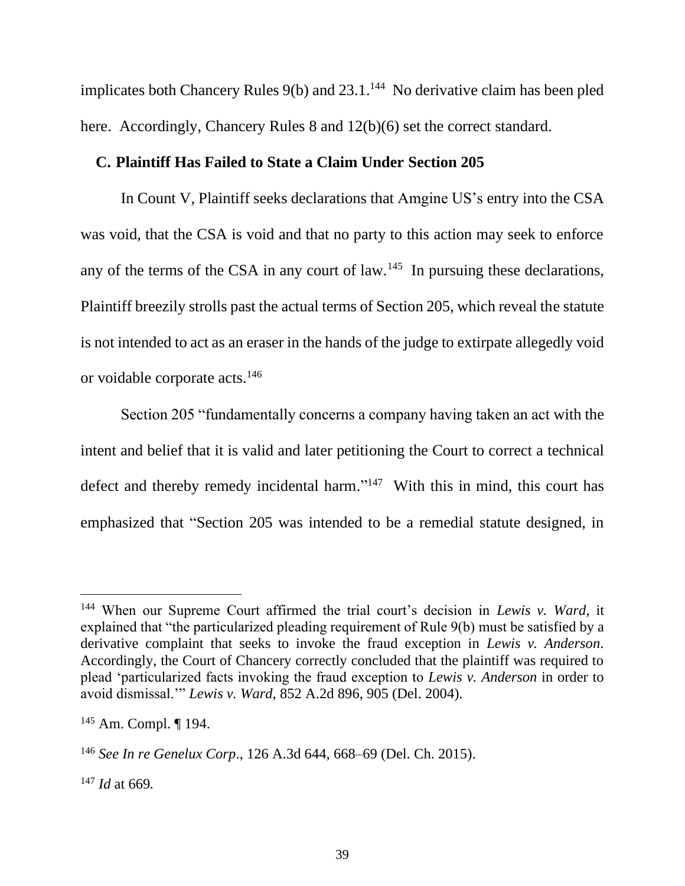implicates both Chancery Rules  $9(b)$  and  $23.1$ .<sup>144</sup> No derivative claim has been pled here. Accordingly, Chancery Rules 8 and  $12(b)(6)$  set the correct standard.

#### **C. Plaintiff Has Failed to State a Claim Under Section 205**

In Count V, Plaintiff seeks declarations that Amgine US's entry into the CSA was void, that the CSA is void and that no party to this action may seek to enforce any of the terms of the CSA in any court of  $law<sup>145</sup>$  In pursuing these declarations, Plaintiff breezily strolls past the actual terms of Section 205, which reveal the statute is not intended to act as an eraser in the hands of the judge to extirpate allegedly void or voidable corporate acts.<sup>146</sup>

Section 205 "fundamentally concerns a company having taken an act with the intent and belief that it is valid and later petitioning the Court to correct a technical defect and thereby remedy incidental harm."<sup>147</sup> With this in mind, this court has emphasized that "Section 205 was intended to be a remedial statute designed, in

<sup>144</sup> When our Supreme Court affirmed the trial court's decision in *Lewis v. Ward*, it explained that "the particularized pleading requirement of Rule 9(b) must be satisfied by a derivative complaint that seeks to invoke the fraud exception in *Lewis v. Anderson*. Accordingly, the Court of Chancery correctly concluded that the plaintiff was required to plead 'particularized facts invoking the fraud exception to *Lewis v. Anderson* in order to avoid dismissal.'" *Lewis v. Ward*, 852 A.2d 896, 905 (Del. 2004).

<sup>145</sup> Am. Compl. ¶ 194.

<sup>146</sup> *See In re Genelux Corp*., 126 A.3d 644, 668–69 (Del. Ch. 2015).

<sup>147</sup> *Id* at 669*.*